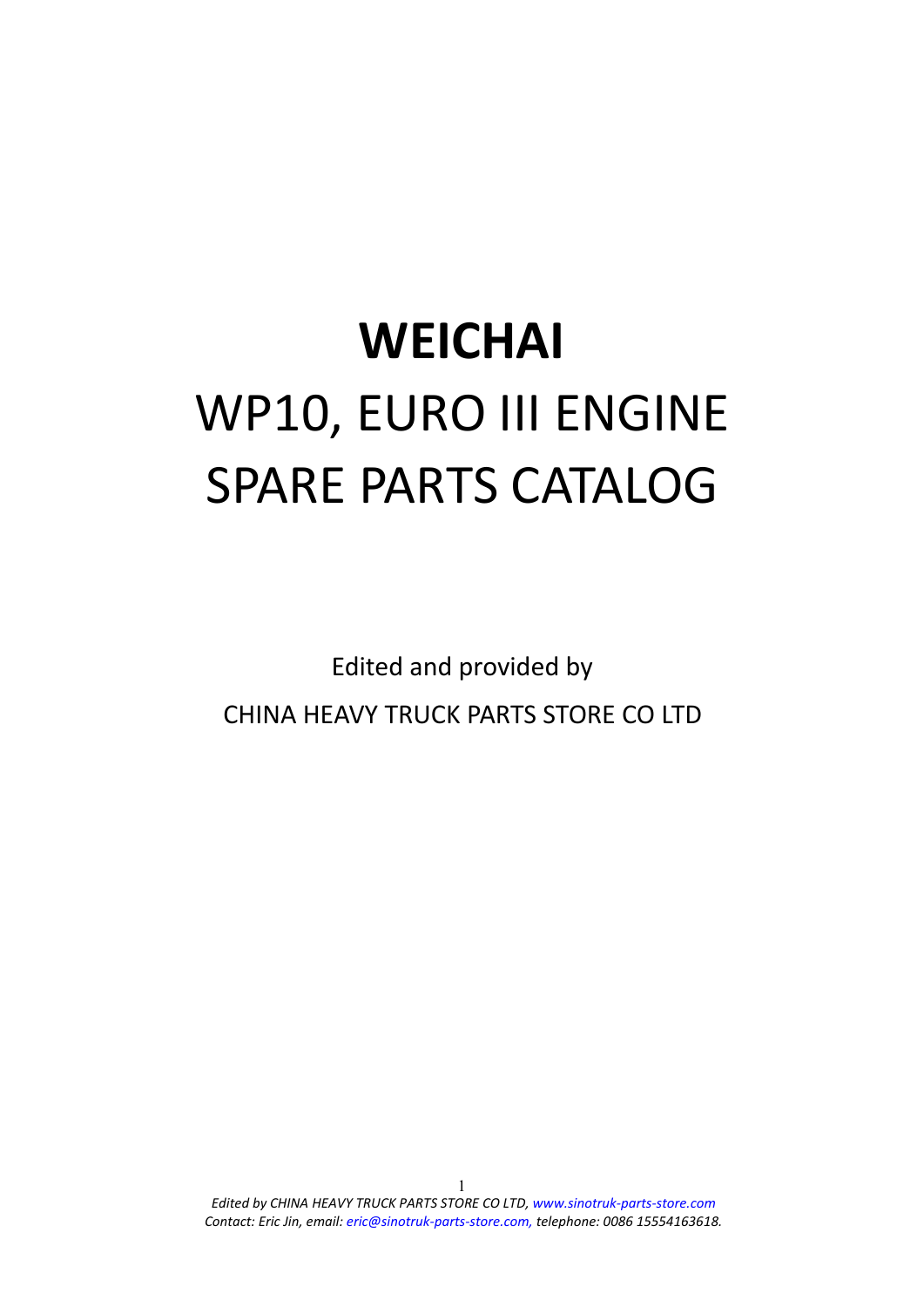## **WEICHAI** WP10, EURO III ENGINE SPARE PARTS CATALOG

Edited and provided by CHINA HEAVY TRUCK PARTS STORE CO LTD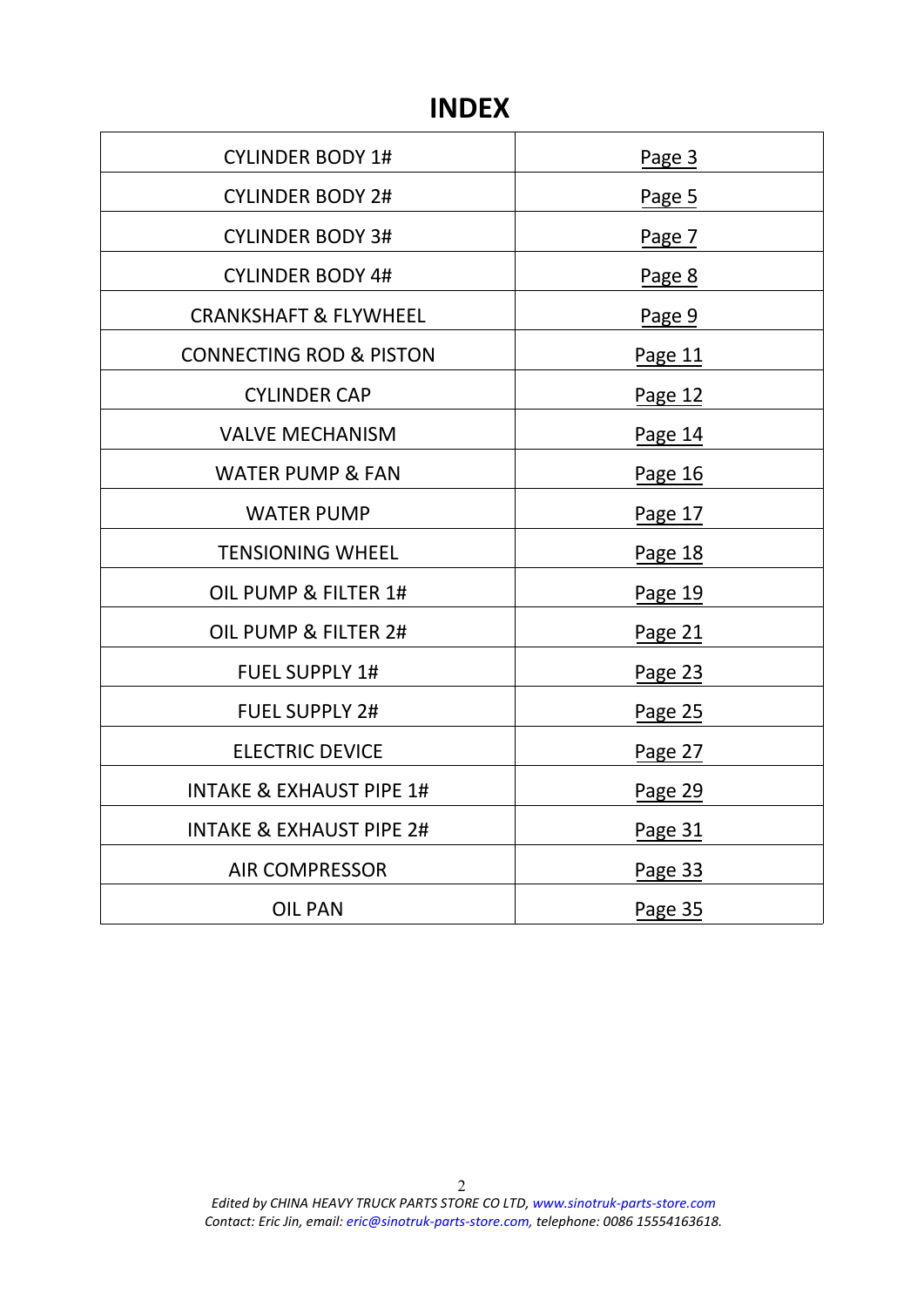## **INDEX**

| <b>CYLINDER BODY 1#</b>             | Page 3  |
|-------------------------------------|---------|
| <b>CYLINDER BODY 2#</b>             | Page 5  |
| <b>CYLINDER BODY 3#</b>             | Page 7  |
| <b>CYLINDER BODY 4#</b>             | Page 8  |
| <b>CRANKSHAFT &amp; FLYWHEEL</b>    | Page 9  |
| <b>CONNECTING ROD &amp; PISTON</b>  | Page 11 |
| <b>CYLINDER CAP</b>                 | Page 12 |
| <b>VALVE MECHANISM</b>              | Page 14 |
| <b>WATER PUMP &amp; FAN</b>         | Page 16 |
| <b>WATER PUMP</b>                   | Page 17 |
| <b>TENSIONING WHEEL</b>             | Page 18 |
| OIL PUMP & FILTER 1#                | Page 19 |
| OIL PUMP & FILTER 2#                | Page 21 |
| <b>FUEL SUPPLY 1#</b>               | Page 23 |
| <b>FUEL SUPPLY 2#</b>               | Page 25 |
| <b>ELECTRIC DEVICE</b>              | Page 27 |
| <b>INTAKE &amp; EXHAUST PIPE 1#</b> | Page 29 |
| <b>INTAKE &amp; EXHAUST PIPE 2#</b> | Page 31 |
| <b>AIR COMPRESSOR</b>               | Page 33 |
| <b>OIL PAN</b>                      | Page 35 |
|                                     |         |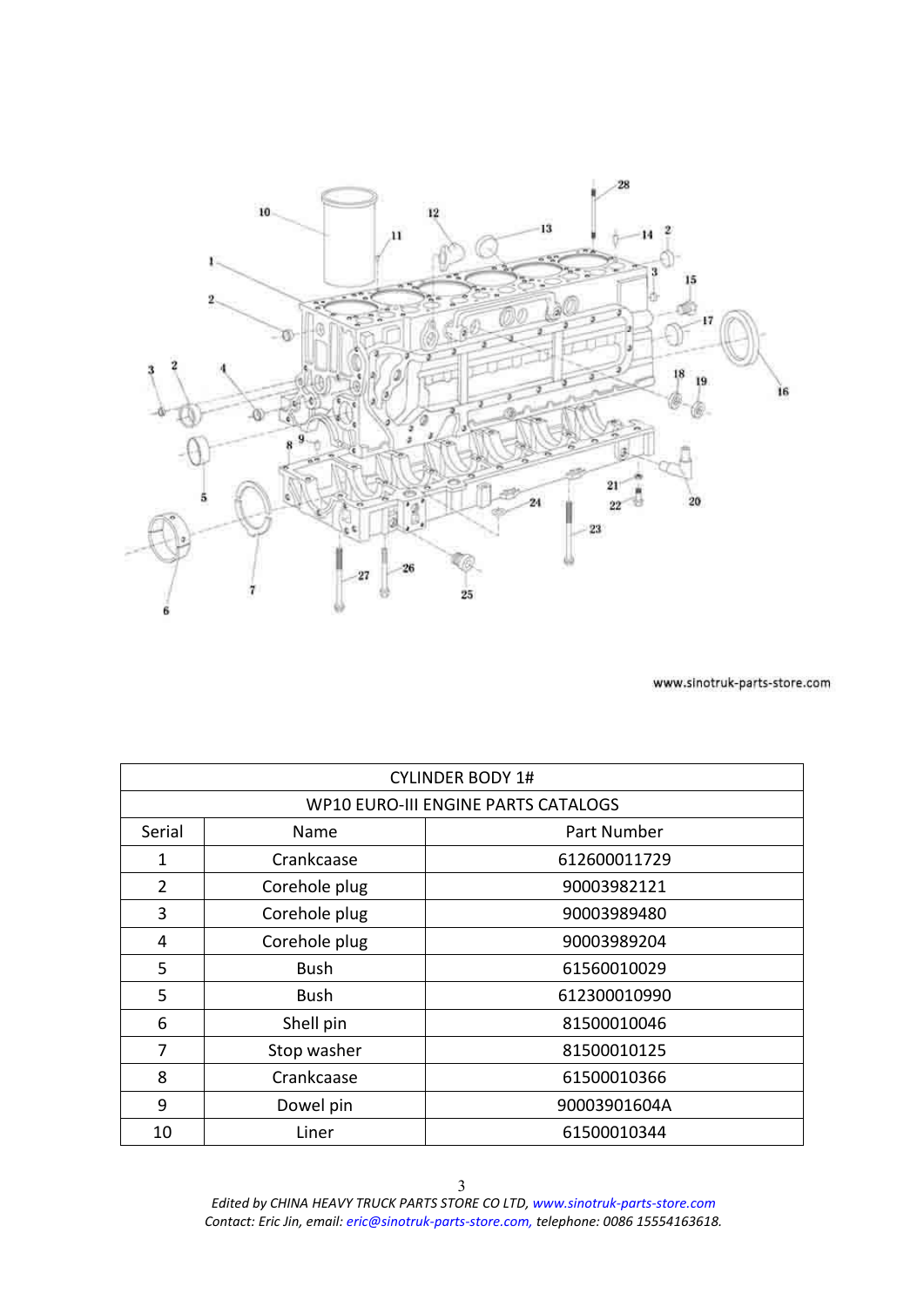<span id="page-2-0"></span>

|                | <b>CYLINDER BODY 1#</b>             |              |  |
|----------------|-------------------------------------|--------------|--|
|                | WP10 EURO-III ENGINE PARTS CATALOGS |              |  |
| Serial         | <b>Name</b>                         | Part Number  |  |
| 1              | Crankcaase                          | 612600011729 |  |
| $\overline{2}$ | Corehole plug                       | 90003982121  |  |
| 3              | Corehole plug                       | 90003989480  |  |
| 4              | Corehole plug                       | 90003989204  |  |
| 5              | <b>Bush</b>                         | 61560010029  |  |
| 5              | <b>Bush</b>                         | 612300010990 |  |
| 6              | Shell pin                           | 81500010046  |  |
| 7              | Stop washer                         | 81500010125  |  |
| 8              | Crankcaase                          | 61500010366  |  |
| 9              | Dowel pin                           | 90003901604A |  |
| 10             | Liner                               | 61500010344  |  |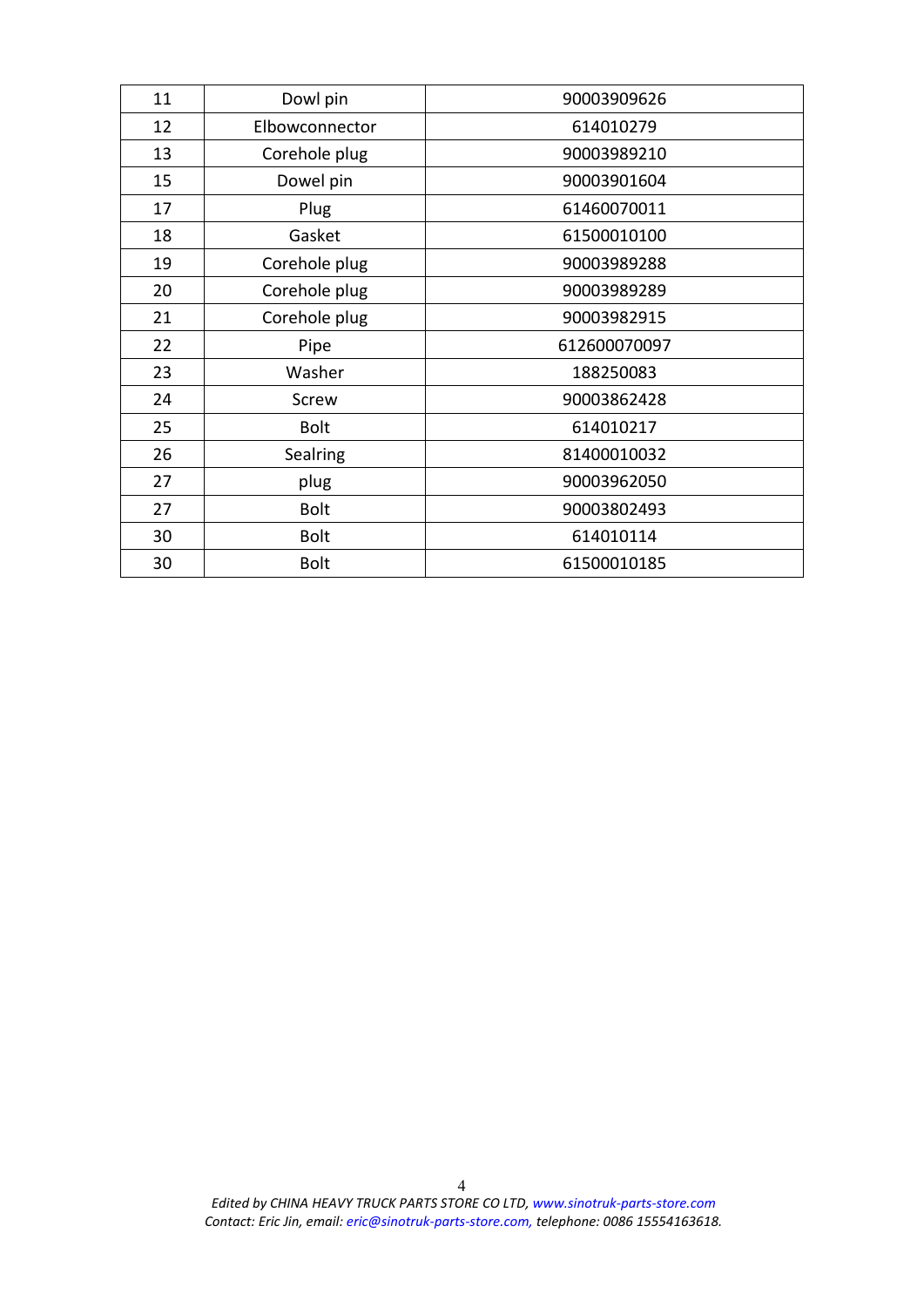| 11 | Dowl pin       | 90003909626  |
|----|----------------|--------------|
| 12 | Elbowconnector | 614010279    |
| 13 | Corehole plug  | 90003989210  |
| 15 | Dowel pin      | 90003901604  |
| 17 | Plug           | 61460070011  |
| 18 | Gasket         | 61500010100  |
| 19 | Corehole plug  | 90003989288  |
| 20 | Corehole plug  | 90003989289  |
| 21 | Corehole plug  | 90003982915  |
| 22 | Pipe           | 612600070097 |
| 23 | Washer         | 188250083    |
| 24 | Screw          | 90003862428  |
| 25 | <b>Bolt</b>    | 614010217    |
| 26 | Sealring       | 81400010032  |
| 27 | plug           | 90003962050  |
| 27 | <b>Bolt</b>    | 90003802493  |
| 30 | <b>Bolt</b>    | 614010114    |
| 30 | <b>Bolt</b>    | 61500010185  |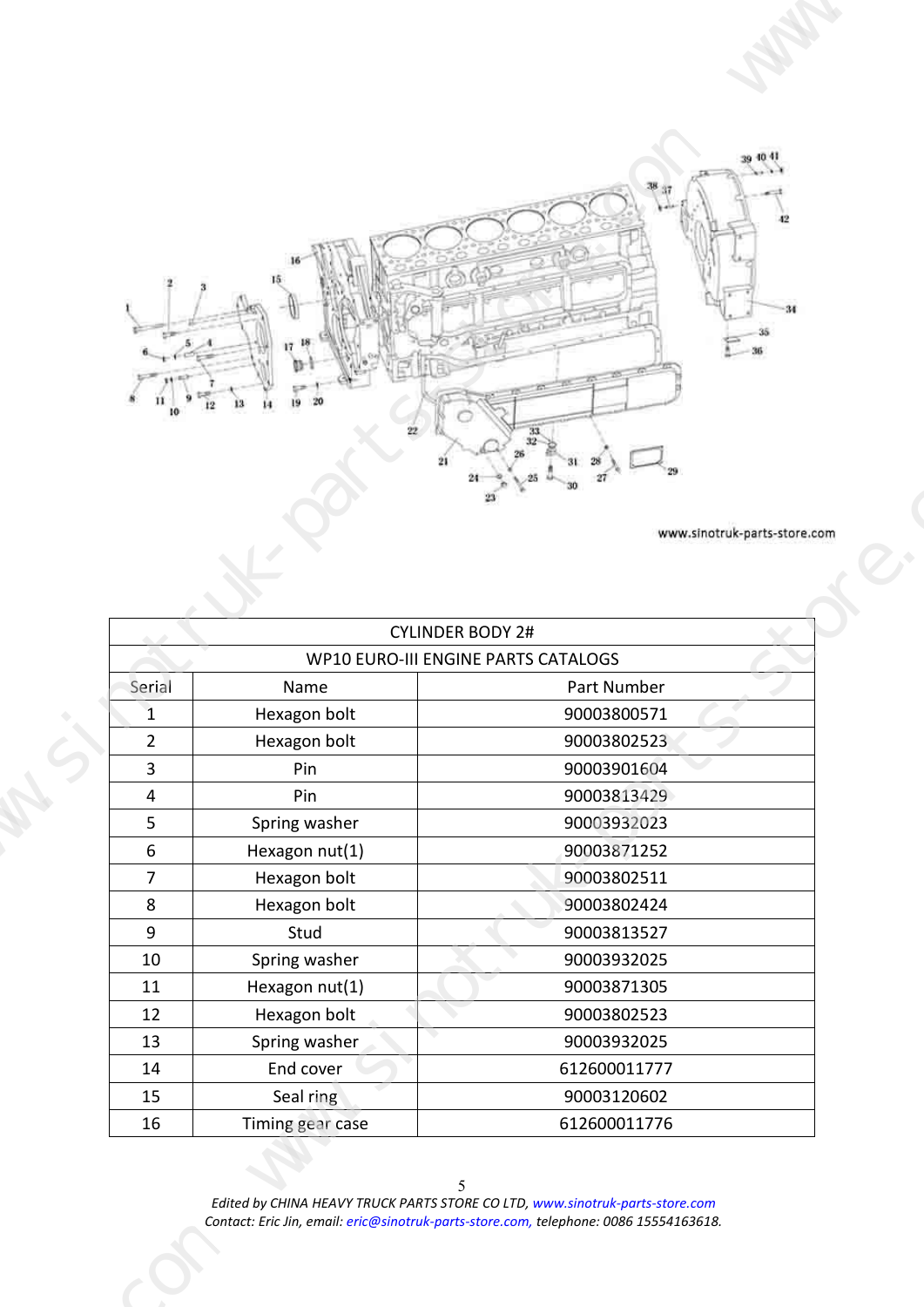<span id="page-4-0"></span>

|                                                             |                                                                                       | $\leftarrow$<br>$-36$<br>www.sinotruk-parts-store.com<br><b>CYLINDER BODY 2#</b> |  |
|-------------------------------------------------------------|---------------------------------------------------------------------------------------|----------------------------------------------------------------------------------|--|
| Serial<br>$\mathbf{r}$<br>$\overline{2}$                    | Name<br>Hexagon bolt                                                                  | WP10 EURO-III ENGINE PARTS CATALOGS<br>Part Number<br>90003800571<br>90003802523 |  |
| $\overline{\mathbf{3}}$<br>$\overline{4}$<br>5 <sub>1</sub> | Hexagon bolt<br>Pin<br>Pin<br>Spring washer                                           | 90003901604<br>90003813429<br>90003932023                                        |  |
| $6\overline{6}$<br>7 <sup>7</sup>                           | Hexagon nut(1)<br>Hexagon bolt                                                        | 90003871252<br>90003802511                                                       |  |
| 8<br>9                                                      | Hexagon bolt<br>Stud                                                                  | 90003802424<br>90003813527                                                       |  |
| 10<br>11                                                    | Spring washer<br>Hexagon nut(1)                                                       | 90003932025<br>90003871305                                                       |  |
| 12<br>13                                                    | Hexagon bolt<br>Spring washer                                                         | 90003802523<br>90003932025                                                       |  |
| 14<br>15                                                    | End cover<br>Seal ring                                                                | 612600011777<br>90003120602                                                      |  |
| 16                                                          | Timing gear case                                                                      | 612600011776                                                                     |  |
|                                                             | Contact: Eric Jin, email: eric@sinotruk-parts-store.com, telephone: 0086 15554163618. | Edited by CHINA HEAVY TRUCK PARTS STORE CO LTD, www.sinotruk-parts-store.com     |  |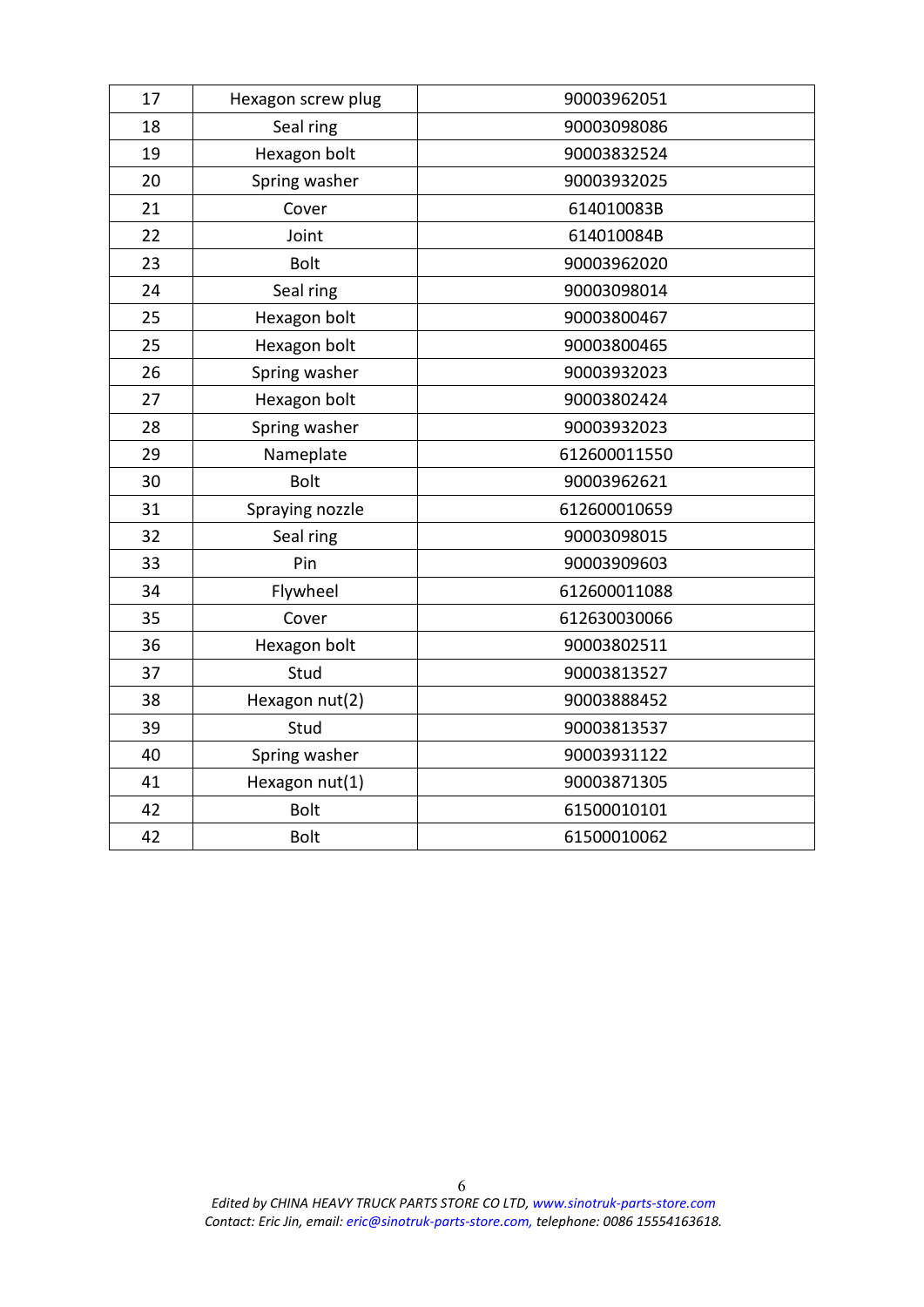| 17 | Hexagon screw plug | 90003962051  |
|----|--------------------|--------------|
| 18 | Seal ring          | 90003098086  |
| 19 | Hexagon bolt       | 90003832524  |
| 20 | Spring washer      | 90003932025  |
| 21 | Cover              | 614010083B   |
| 22 | Joint              | 614010084B   |
| 23 | Bolt               | 90003962020  |
| 24 | Seal ring          | 90003098014  |
| 25 | Hexagon bolt       | 90003800467  |
| 25 | Hexagon bolt       | 90003800465  |
| 26 | Spring washer      | 90003932023  |
| 27 | Hexagon bolt       | 90003802424  |
| 28 | Spring washer      | 90003932023  |
| 29 | Nameplate          | 612600011550 |
| 30 | <b>Bolt</b>        | 90003962621  |
| 31 | Spraying nozzle    | 612600010659 |
| 32 | Seal ring          | 90003098015  |
| 33 | Pin                | 90003909603  |
| 34 | Flywheel           | 612600011088 |
| 35 | Cover              | 612630030066 |
| 36 | Hexagon bolt       | 90003802511  |
| 37 | Stud               | 90003813527  |
| 38 | Hexagon nut(2)     | 90003888452  |
| 39 | Stud               | 90003813537  |
| 40 | Spring washer      | 90003931122  |
| 41 | Hexagon nut(1)     | 90003871305  |
| 42 | <b>Bolt</b>        | 61500010101  |
| 42 | <b>Bolt</b>        | 61500010062  |
|    |                    |              |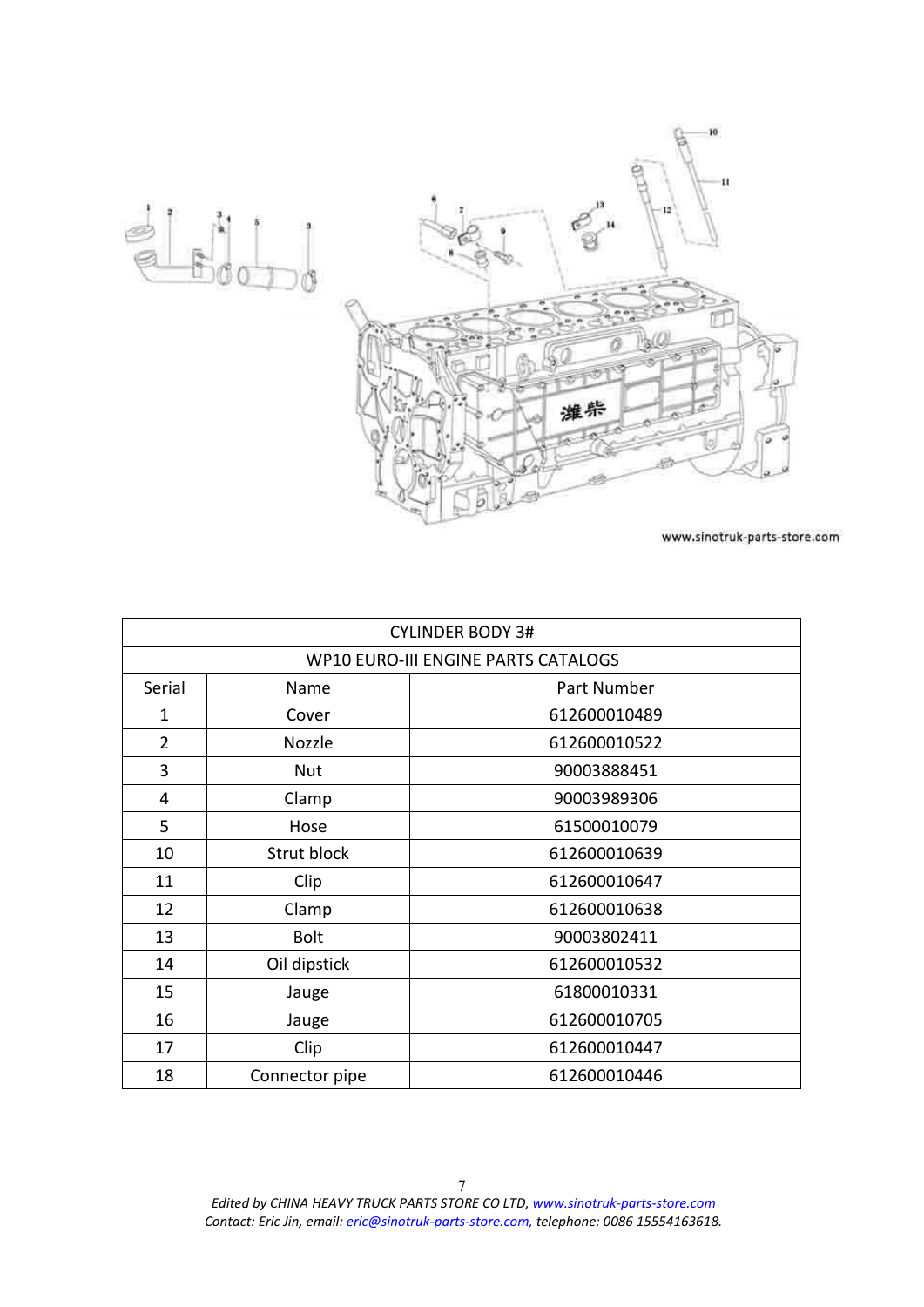<span id="page-6-0"></span>

| <b>CYLINDER BODY 3#</b> |                |                                            |
|-------------------------|----------------|--------------------------------------------|
|                         |                | <b>WP10 EURO-III ENGINE PARTS CATALOGS</b> |
| Serial                  | Name           | Part Number                                |
| 1                       | Cover          | 612600010489                               |
| $\overline{2}$          | Nozzle         | 612600010522                               |
| 3                       | <b>Nut</b>     | 90003888451                                |
| 4                       | Clamp          | 90003989306                                |
| 5                       | Hose           | 61500010079                                |
| 10                      | Strut block    | 612600010639                               |
| 11                      | Clip           | 612600010647                               |
| 12                      | Clamp          | 612600010638                               |
| 13                      | <b>Bolt</b>    | 90003802411                                |
| 14                      | Oil dipstick   | 612600010532                               |
| 15                      | Jauge          | 61800010331                                |
| 16                      | Jauge          | 612600010705                               |
| 17                      | Clip           | 612600010447                               |
| 18                      | Connector pipe | 612600010446                               |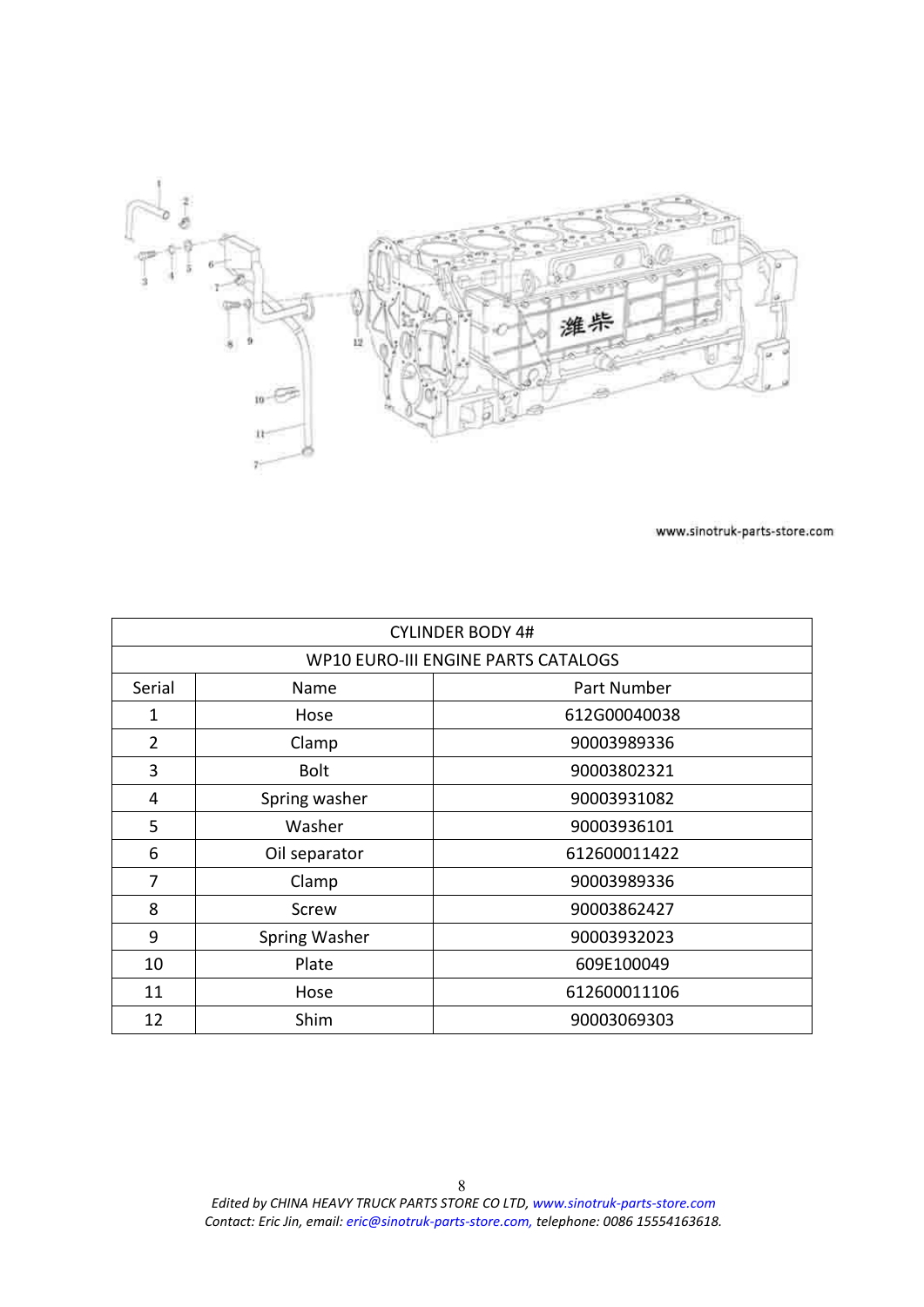<span id="page-7-0"></span>

| <b>CYLINDER BODY 4#</b> |                                     |              |  |  |  |
|-------------------------|-------------------------------------|--------------|--|--|--|
|                         | WP10 EURO-III ENGINE PARTS CATALOGS |              |  |  |  |
| Serial                  | Name                                | Part Number  |  |  |  |
| 1                       | Hose                                | 612G00040038 |  |  |  |
| $\overline{2}$          | Clamp                               | 90003989336  |  |  |  |
| 3                       | <b>Bolt</b>                         | 90003802321  |  |  |  |
| 4                       | Spring washer                       | 90003931082  |  |  |  |
| 5                       | Washer                              | 90003936101  |  |  |  |
| 6                       | Oil separator                       | 612600011422 |  |  |  |
| 7                       | Clamp                               | 90003989336  |  |  |  |
| 8                       | Screw                               | 90003862427  |  |  |  |
| 9                       | Spring Washer                       | 90003932023  |  |  |  |
| 10                      | Plate                               | 609E100049   |  |  |  |
| 11                      | Hose                                | 612600011106 |  |  |  |
| 12                      | Shim                                | 90003069303  |  |  |  |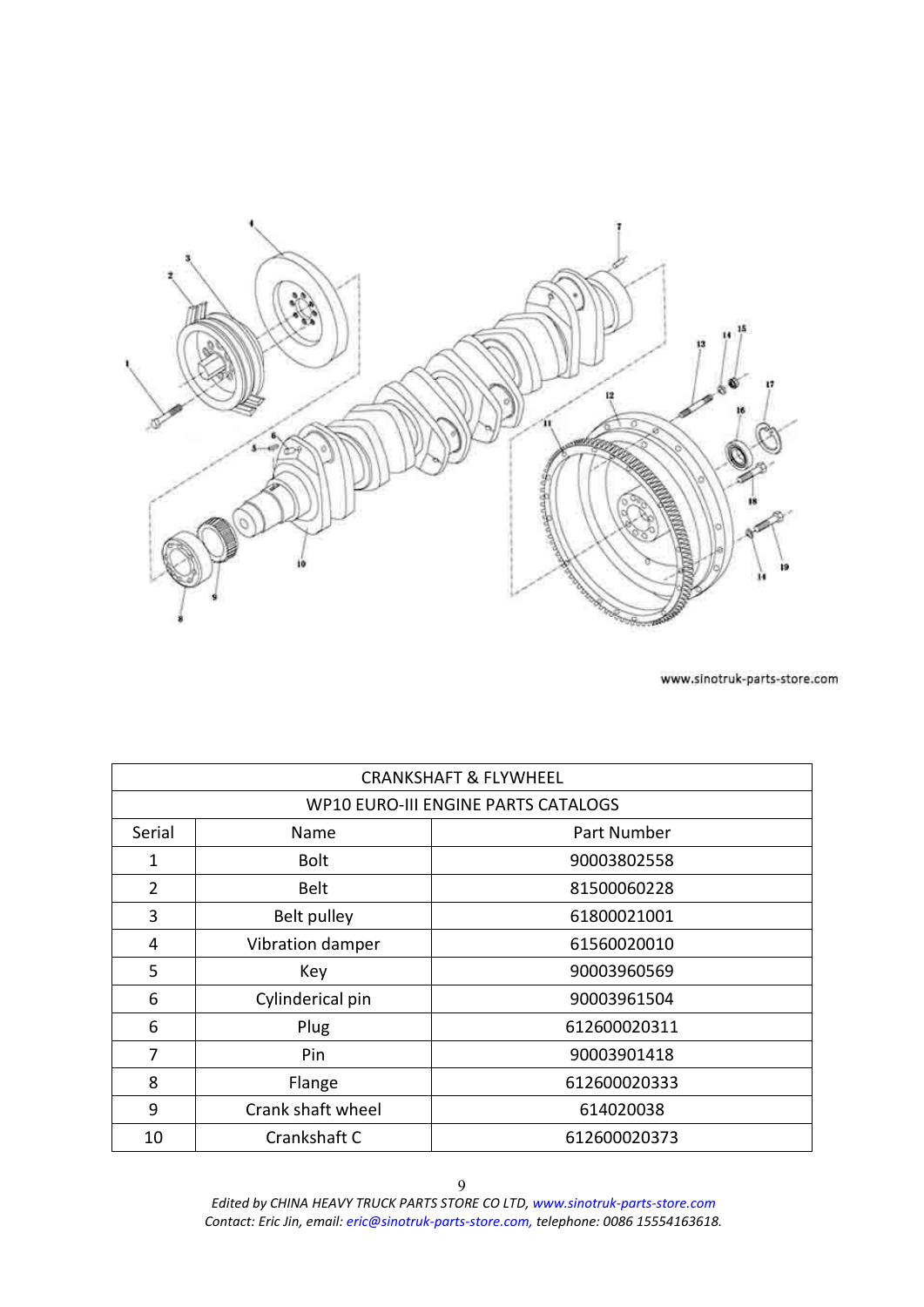<span id="page-8-0"></span>

|                | <b>CRANKSHAFT &amp; FLYWHEEL</b>           |              |  |  |
|----------------|--------------------------------------------|--------------|--|--|
|                | <b>WP10 EURO-III ENGINE PARTS CATALOGS</b> |              |  |  |
| Serial         | Name                                       | Part Number  |  |  |
| 1              | <b>Bolt</b>                                | 90003802558  |  |  |
| $\overline{2}$ | <b>Belt</b>                                | 81500060228  |  |  |
| 3              | Belt pulley                                | 61800021001  |  |  |
| 4              | Vibration damper                           | 61560020010  |  |  |
| 5              | Key                                        | 90003960569  |  |  |
| 6              | Cylinderical pin                           | 90003961504  |  |  |
| 6              | Plug                                       | 612600020311 |  |  |
| 7              | Pin                                        | 90003901418  |  |  |
| 8              | Flange                                     | 612600020333 |  |  |
| 9              | Crank shaft wheel                          | 614020038    |  |  |
| 10             | Crankshaft C                               | 612600020373 |  |  |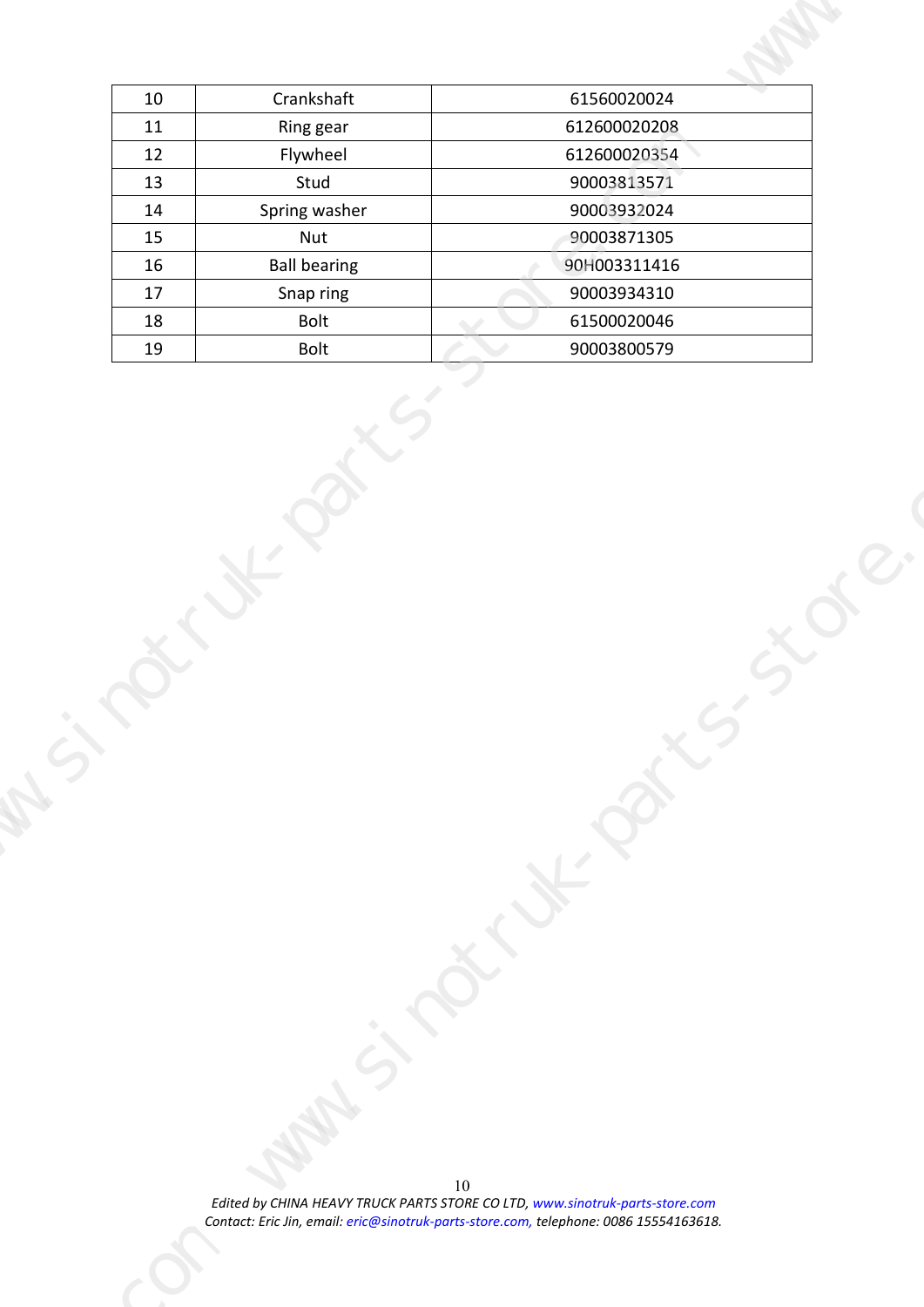| Crankshaft<br>61560020024<br>10<br>612600020208<br>Ring gear<br>11<br>612600020354<br>12<br>Flywheel<br>90003813571<br>13<br>Stud<br>90003932024<br>Spring washer<br>14<br>15<br>90003871305<br>Nut<br><b>Ball bearing</b><br>16<br>90H003311416<br>90003934310<br>17<br>Snap ring<br>61500020046<br>18<br>Bolt<br>Bolt<br>90003800579<br>19<br>$\sim$ $\sim$<br>וט<br>Edited by CHINA HEAVY TRUCK PARTS STORE CO LTD, www.sinotruk-parts-store.com<br>Contact: Eric Jin, email: eric@sinotruk-parts-store.com, telephone: 0086 15554163618. |  |
|----------------------------------------------------------------------------------------------------------------------------------------------------------------------------------------------------------------------------------------------------------------------------------------------------------------------------------------------------------------------------------------------------------------------------------------------------------------------------------------------------------------------------------------------|--|
|                                                                                                                                                                                                                                                                                                                                                                                                                                                                                                                                              |  |
|                                                                                                                                                                                                                                                                                                                                                                                                                                                                                                                                              |  |
|                                                                                                                                                                                                                                                                                                                                                                                                                                                                                                                                              |  |
|                                                                                                                                                                                                                                                                                                                                                                                                                                                                                                                                              |  |
|                                                                                                                                                                                                                                                                                                                                                                                                                                                                                                                                              |  |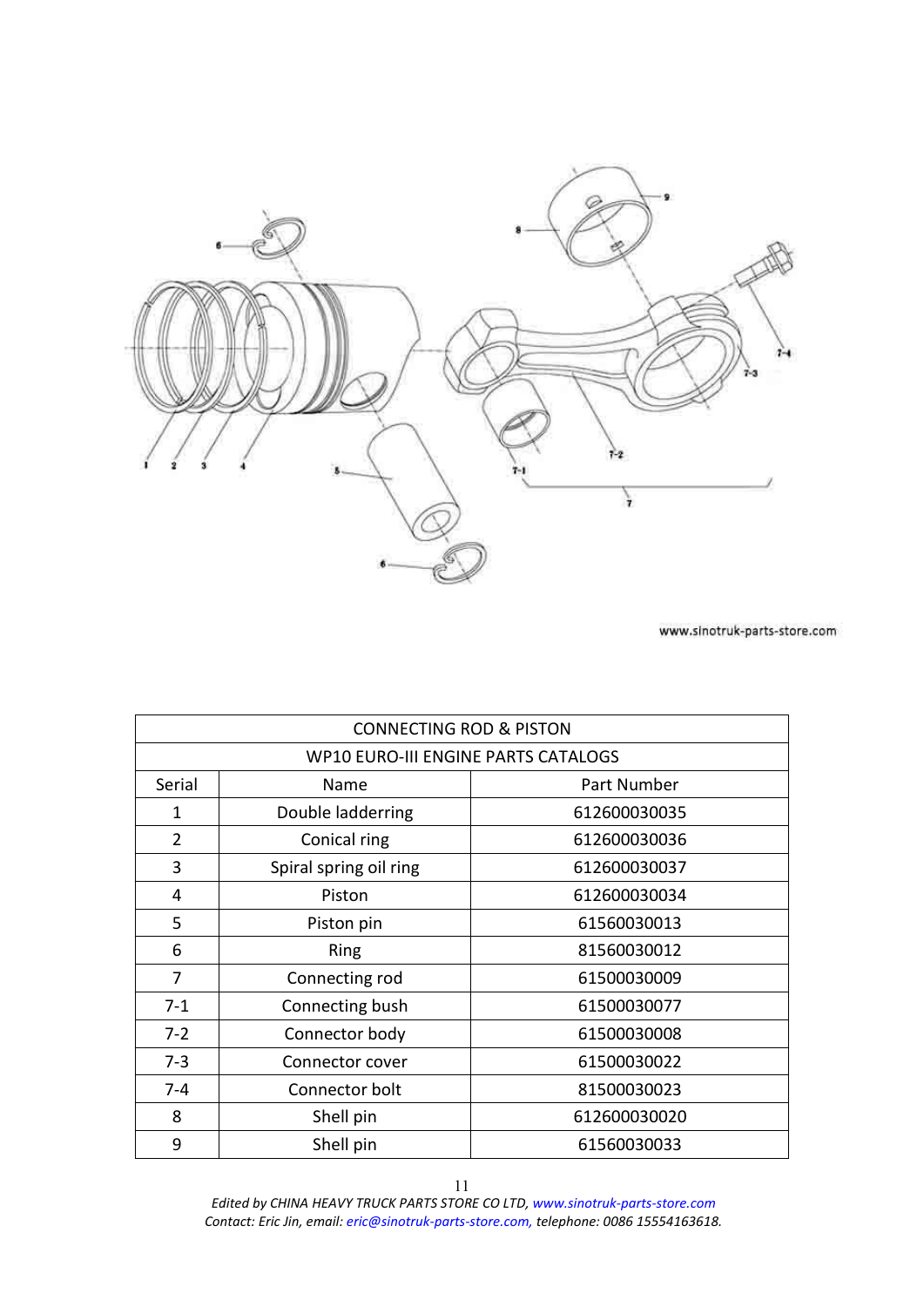<span id="page-10-0"></span>

|                                     | <b>CONNECTING ROD &amp; PISTON</b> |              |  |  |
|-------------------------------------|------------------------------------|--------------|--|--|
| WP10 EURO-III ENGINE PARTS CATALOGS |                                    |              |  |  |
| Serial                              | Name                               | Part Number  |  |  |
| 1                                   | Double ladderring                  | 612600030035 |  |  |
| $\overline{2}$                      | Conical ring                       | 612600030036 |  |  |
| 3                                   | Spiral spring oil ring             | 612600030037 |  |  |
| 4                                   | Piston                             | 612600030034 |  |  |
| 5                                   | Piston pin                         | 61560030013  |  |  |
| 6                                   | <b>Ring</b>                        | 81560030012  |  |  |
| 7                                   | Connecting rod                     | 61500030009  |  |  |
| $7-1$                               | Connecting bush                    | 61500030077  |  |  |
| $7 - 2$                             | Connector body                     | 61500030008  |  |  |
| $7 - 3$                             | Connector cover                    | 61500030022  |  |  |
| $7 - 4$                             | Connector bolt                     | 81500030023  |  |  |
| 8                                   | Shell pin                          | 612600030020 |  |  |
| 9                                   | Shell pin                          | 61560030033  |  |  |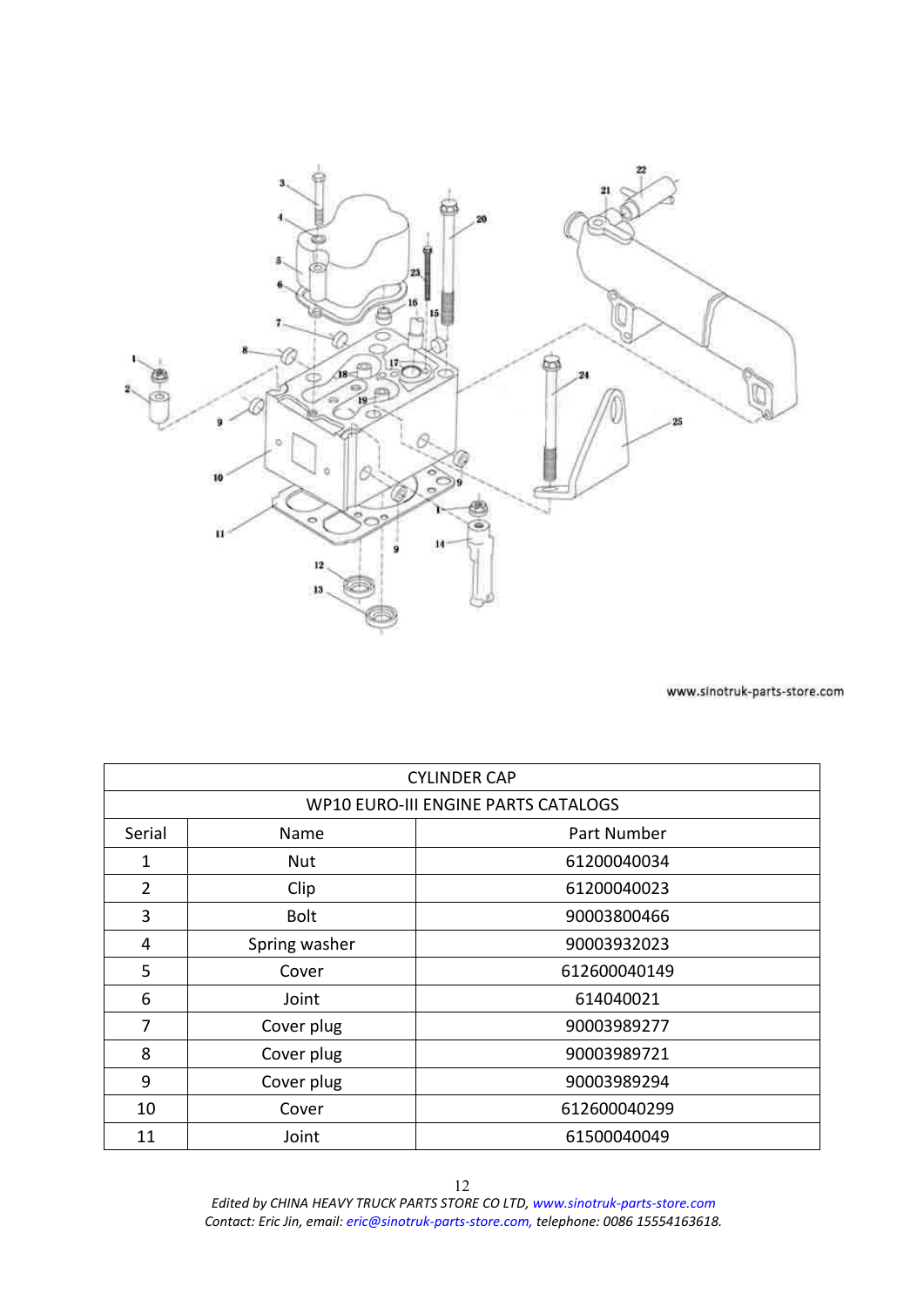<span id="page-11-0"></span>

|                | <b>CYLINDER CAP</b>                 |              |  |  |
|----------------|-------------------------------------|--------------|--|--|
|                | WP10 EURO-III ENGINE PARTS CATALOGS |              |  |  |
| Serial         | Name                                | Part Number  |  |  |
| 1              | <b>Nut</b>                          | 61200040034  |  |  |
| $\overline{2}$ | Clip                                | 61200040023  |  |  |
| 3              | <b>Bolt</b>                         | 90003800466  |  |  |
| 4              | Spring washer                       | 90003932023  |  |  |
| 5              | Cover                               | 612600040149 |  |  |
| 6              | Joint                               | 614040021    |  |  |
| 7              | Cover plug                          | 90003989277  |  |  |
| 8              | Cover plug                          | 90003989721  |  |  |
| 9              | Cover plug                          | 90003989294  |  |  |
| 10             | Cover                               | 612600040299 |  |  |
| 11             | Joint                               | 61500040049  |  |  |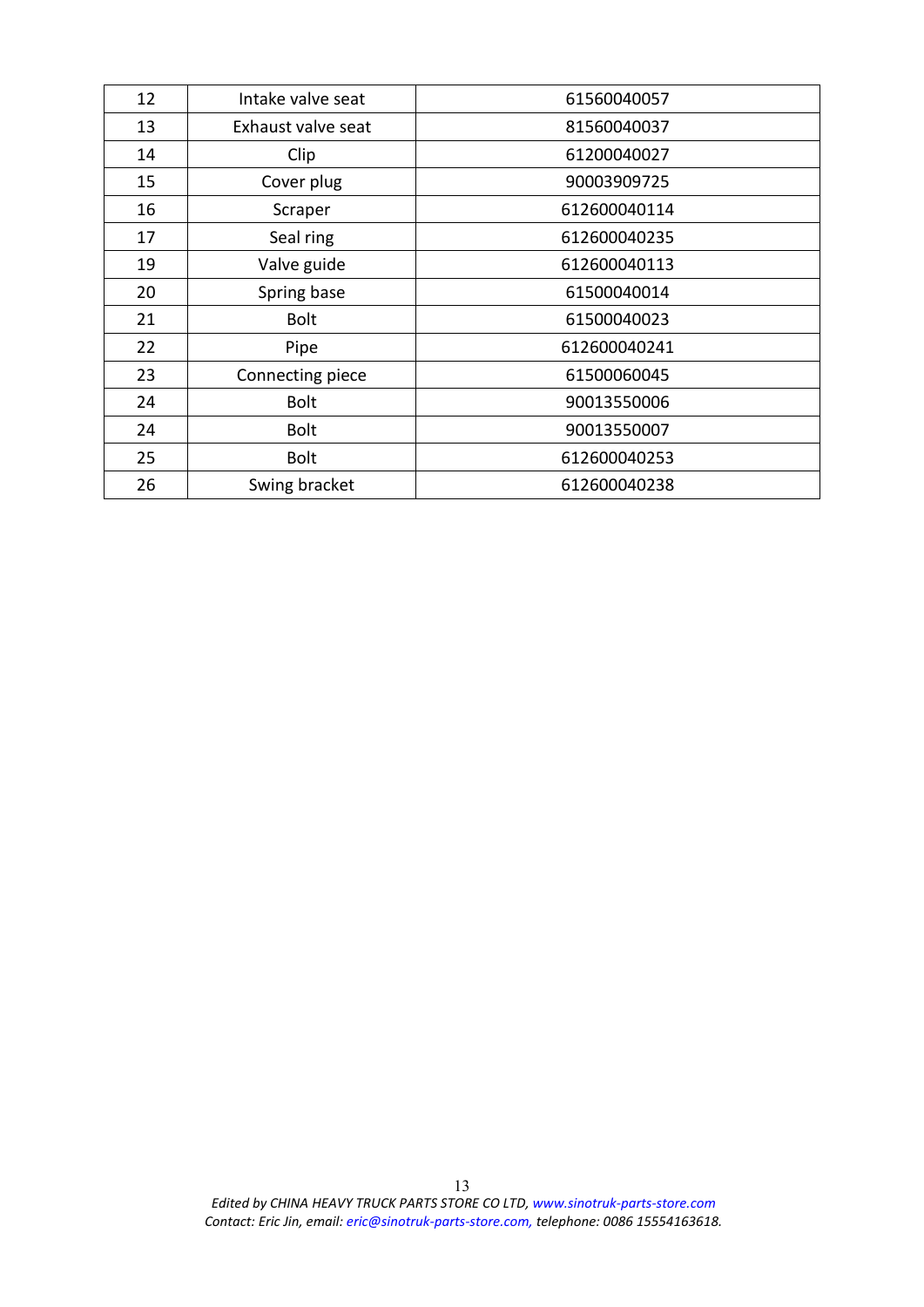| 12 | Intake valve seat  | 61560040057  |
|----|--------------------|--------------|
| 13 | Exhaust valve seat | 81560040037  |
| 14 | Clip               | 61200040027  |
| 15 | Cover plug         | 90003909725  |
| 16 | Scraper            | 612600040114 |
| 17 | Seal ring          | 612600040235 |
| 19 | Valve guide        | 612600040113 |
| 20 | Spring base        | 61500040014  |
| 21 | <b>Bolt</b>        | 61500040023  |
| 22 | Pipe               | 612600040241 |
| 23 | Connecting piece   | 61500060045  |
| 24 | <b>Bolt</b>        | 90013550006  |
| 24 | <b>Bolt</b>        | 90013550007  |
| 25 | <b>Bolt</b>        | 612600040253 |
| 26 | Swing bracket      | 612600040238 |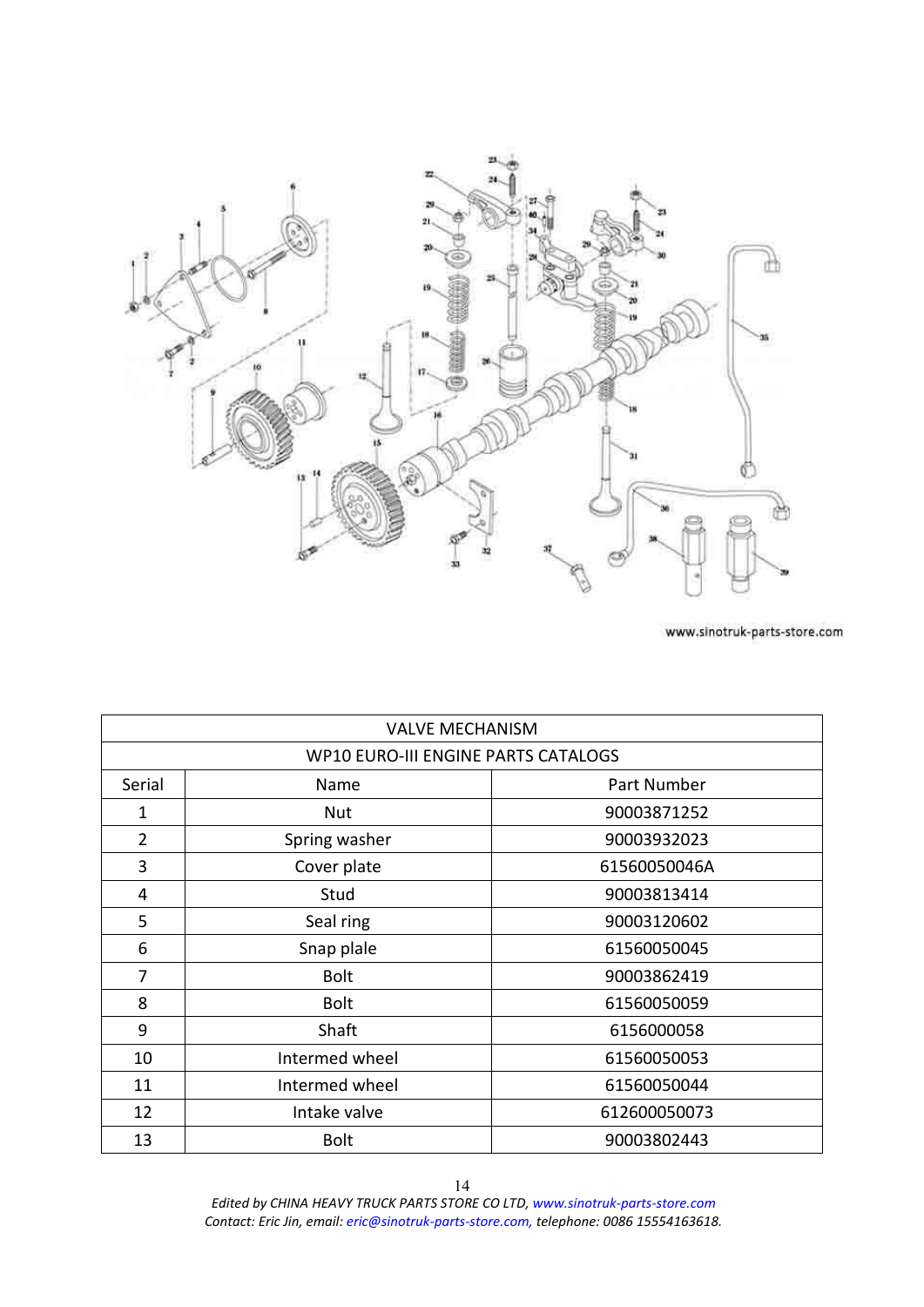<span id="page-13-0"></span>

|              | <b>VALVE MECHANISM</b>              |              |
|--------------|-------------------------------------|--------------|
|              | WP10 EURO-III ENGINE PARTS CATALOGS |              |
| Serial       | Name                                | Part Number  |
| $\mathbf{1}$ | Nut                                 | 90003871252  |
| 2            | Spring washer                       | 90003932023  |
| 3            | Cover plate                         | 61560050046A |
| 4            | Stud                                | 90003813414  |
| 5            | Seal ring                           | 90003120602  |
| 6            | Snap plale                          | 61560050045  |
| 7            | <b>Bolt</b>                         | 90003862419  |
| 8            | Bolt                                | 61560050059  |
| 9            | Shaft                               | 6156000058   |
| 10           | Intermed wheel                      | 61560050053  |
| 11           | Intermed wheel                      | 61560050044  |
| 12           | Intake valve                        | 612600050073 |
| 13           | <b>Bolt</b>                         | 90003802443  |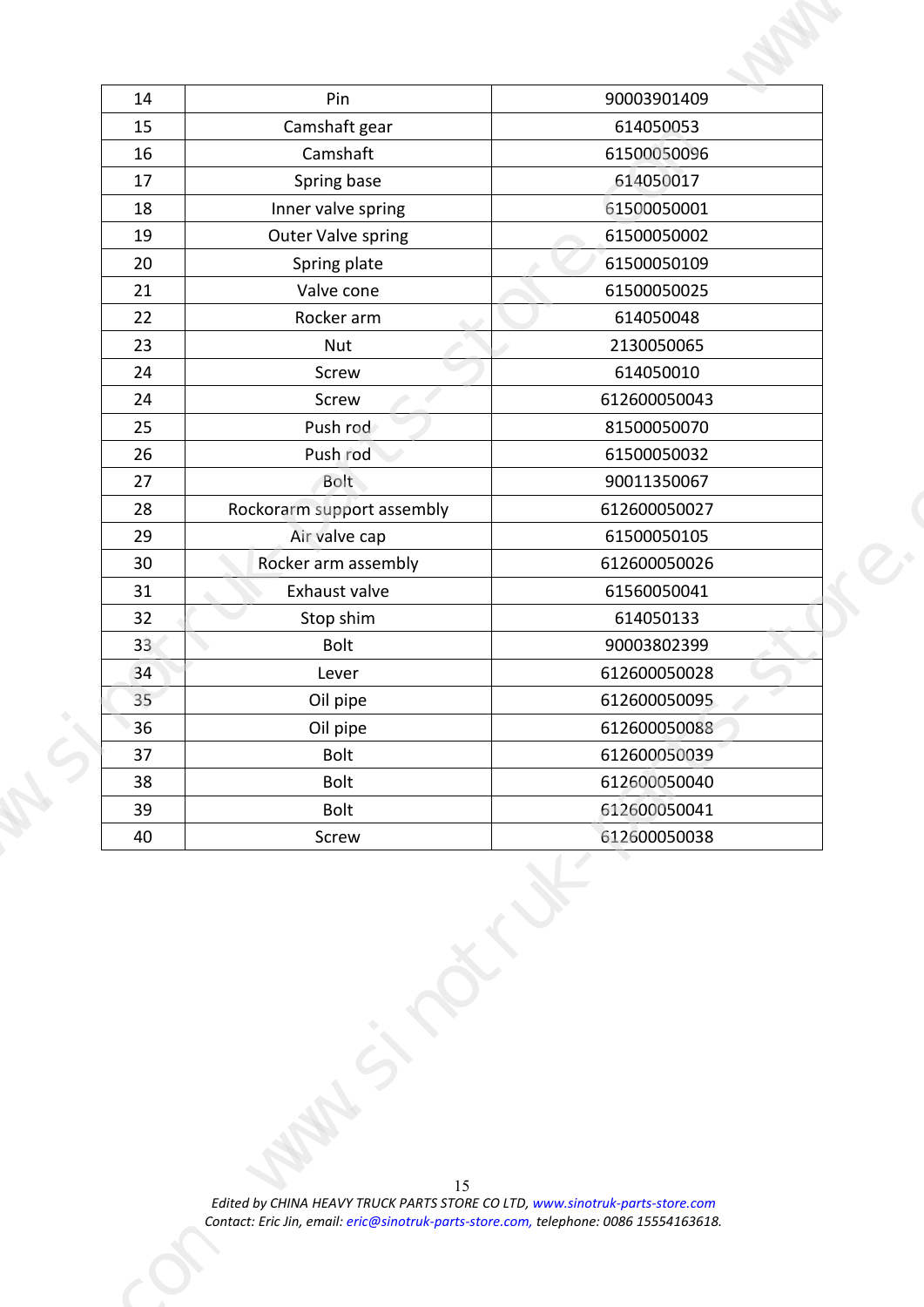| Pin<br>90003901409<br>14<br>Camshaft gear<br>614050053<br>15<br>61500050096<br>Camshaft<br>16<br>614050017<br>Spring base<br>17<br>61500050001<br>Inner valve spring<br>18<br>Outer Valve spring<br>61500050002<br>19<br>20<br>61500050109<br>Spring plate<br>61500050025<br>21<br>Valve cone<br>22<br>Rocker arm<br>614050048<br>2130050065<br>23<br>Nut<br>614050010<br>24<br>Screw<br>Screw<br>612600050043<br>24<br>Push rod<br>25<br>81500050070<br>26<br>61500050032<br>Push rod<br>27<br>Bolt<br>90011350067<br>28<br>Rockorarm support assembly<br>612600050027<br>61500050105<br>29<br>Air valve cap<br>612600050026<br>30 <sup>°</sup><br>Rocker arm assembly<br>61560050041<br>31<br>Exhaust valve<br>614050133<br>32<br>Stop shim<br>33<br>90003802399<br>Bolt<br>34<br>612600050028<br>Lever<br>35 <sup>2</sup><br>Oil pipe<br>612600050095<br>36<br>Oil pipe<br>612600050088<br>612600050039<br>37<br>Bolt<br>Bolt<br>38<br>612600050040<br>612600050041<br>Bolt<br>39<br>40<br>Screw<br>612600050038 | $\overline{\phantom{a}}$<br>15 | Edited by CHINA HEAVY TRUCK PARTS STORE CO LTD, www.sinotruk-parts-store.com<br>Contact: Eric Jin, email: eric@sinotruk-parts-store.com, telephone: 0086 15554163618. |  |
|---------------------------------------------------------------------------------------------------------------------------------------------------------------------------------------------------------------------------------------------------------------------------------------------------------------------------------------------------------------------------------------------------------------------------------------------------------------------------------------------------------------------------------------------------------------------------------------------------------------------------------------------------------------------------------------------------------------------------------------------------------------------------------------------------------------------------------------------------------------------------------------------------------------------------------------------------------------------------------------------------------------------|--------------------------------|-----------------------------------------------------------------------------------------------------------------------------------------------------------------------|--|
|                                                                                                                                                                                                                                                                                                                                                                                                                                                                                                                                                                                                                                                                                                                                                                                                                                                                                                                                                                                                                     |                                |                                                                                                                                                                       |  |
|                                                                                                                                                                                                                                                                                                                                                                                                                                                                                                                                                                                                                                                                                                                                                                                                                                                                                                                                                                                                                     |                                |                                                                                                                                                                       |  |
|                                                                                                                                                                                                                                                                                                                                                                                                                                                                                                                                                                                                                                                                                                                                                                                                                                                                                                                                                                                                                     |                                |                                                                                                                                                                       |  |
|                                                                                                                                                                                                                                                                                                                                                                                                                                                                                                                                                                                                                                                                                                                                                                                                                                                                                                                                                                                                                     |                                |                                                                                                                                                                       |  |
|                                                                                                                                                                                                                                                                                                                                                                                                                                                                                                                                                                                                                                                                                                                                                                                                                                                                                                                                                                                                                     |                                |                                                                                                                                                                       |  |
|                                                                                                                                                                                                                                                                                                                                                                                                                                                                                                                                                                                                                                                                                                                                                                                                                                                                                                                                                                                                                     |                                |                                                                                                                                                                       |  |
|                                                                                                                                                                                                                                                                                                                                                                                                                                                                                                                                                                                                                                                                                                                                                                                                                                                                                                                                                                                                                     |                                |                                                                                                                                                                       |  |
|                                                                                                                                                                                                                                                                                                                                                                                                                                                                                                                                                                                                                                                                                                                                                                                                                                                                                                                                                                                                                     |                                |                                                                                                                                                                       |  |
|                                                                                                                                                                                                                                                                                                                                                                                                                                                                                                                                                                                                                                                                                                                                                                                                                                                                                                                                                                                                                     |                                |                                                                                                                                                                       |  |
|                                                                                                                                                                                                                                                                                                                                                                                                                                                                                                                                                                                                                                                                                                                                                                                                                                                                                                                                                                                                                     |                                |                                                                                                                                                                       |  |
|                                                                                                                                                                                                                                                                                                                                                                                                                                                                                                                                                                                                                                                                                                                                                                                                                                                                                                                                                                                                                     |                                |                                                                                                                                                                       |  |
|                                                                                                                                                                                                                                                                                                                                                                                                                                                                                                                                                                                                                                                                                                                                                                                                                                                                                                                                                                                                                     |                                |                                                                                                                                                                       |  |
|                                                                                                                                                                                                                                                                                                                                                                                                                                                                                                                                                                                                                                                                                                                                                                                                                                                                                                                                                                                                                     |                                |                                                                                                                                                                       |  |
|                                                                                                                                                                                                                                                                                                                                                                                                                                                                                                                                                                                                                                                                                                                                                                                                                                                                                                                                                                                                                     |                                |                                                                                                                                                                       |  |
|                                                                                                                                                                                                                                                                                                                                                                                                                                                                                                                                                                                                                                                                                                                                                                                                                                                                                                                                                                                                                     |                                |                                                                                                                                                                       |  |
|                                                                                                                                                                                                                                                                                                                                                                                                                                                                                                                                                                                                                                                                                                                                                                                                                                                                                                                                                                                                                     |                                |                                                                                                                                                                       |  |
|                                                                                                                                                                                                                                                                                                                                                                                                                                                                                                                                                                                                                                                                                                                                                                                                                                                                                                                                                                                                                     |                                |                                                                                                                                                                       |  |
|                                                                                                                                                                                                                                                                                                                                                                                                                                                                                                                                                                                                                                                                                                                                                                                                                                                                                                                                                                                                                     |                                |                                                                                                                                                                       |  |
|                                                                                                                                                                                                                                                                                                                                                                                                                                                                                                                                                                                                                                                                                                                                                                                                                                                                                                                                                                                                                     |                                |                                                                                                                                                                       |  |
|                                                                                                                                                                                                                                                                                                                                                                                                                                                                                                                                                                                                                                                                                                                                                                                                                                                                                                                                                                                                                     |                                |                                                                                                                                                                       |  |
|                                                                                                                                                                                                                                                                                                                                                                                                                                                                                                                                                                                                                                                                                                                                                                                                                                                                                                                                                                                                                     |                                |                                                                                                                                                                       |  |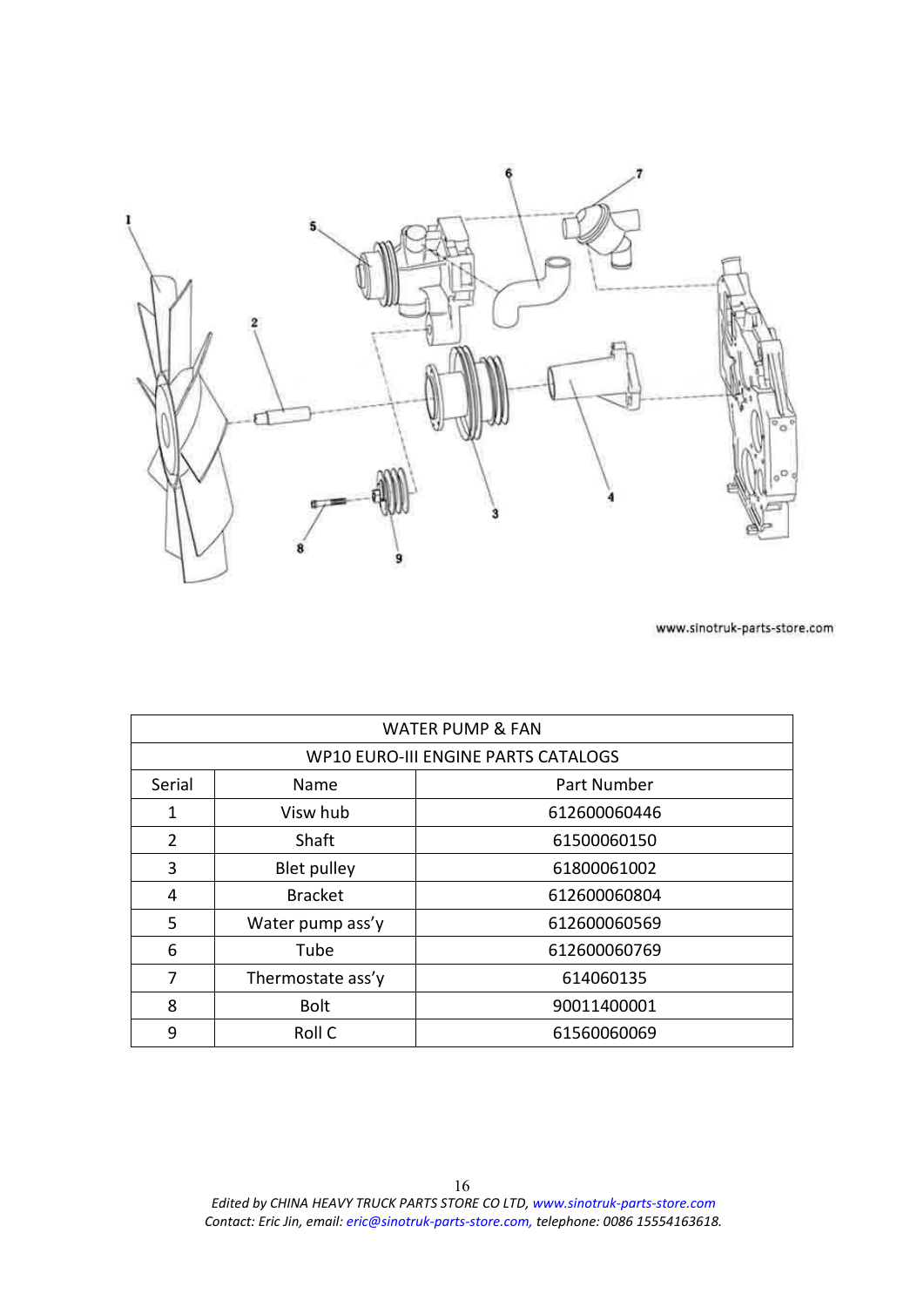<span id="page-15-0"></span>

|                |                   | <b>WATER PUMP &amp; FAN</b>                |
|----------------|-------------------|--------------------------------------------|
|                |                   | <b>WP10 EURO-III ENGINE PARTS CATALOGS</b> |
| Serial         | Name              | Part Number                                |
| 1              | Visw hub          | 612600060446                               |
| $\overline{2}$ | Shaft             | 61500060150                                |
| 3              | Blet pulley       | 61800061002                                |
| 4              | <b>Bracket</b>    | 612600060804                               |
| 5              | Water pump ass'y  | 612600060569                               |
| 6              | Tube              | 612600060769                               |
| 7              | Thermostate ass'y | 614060135                                  |
| 8              | <b>Bolt</b>       | 90011400001                                |
| 9              | Roll C            | 61560060069                                |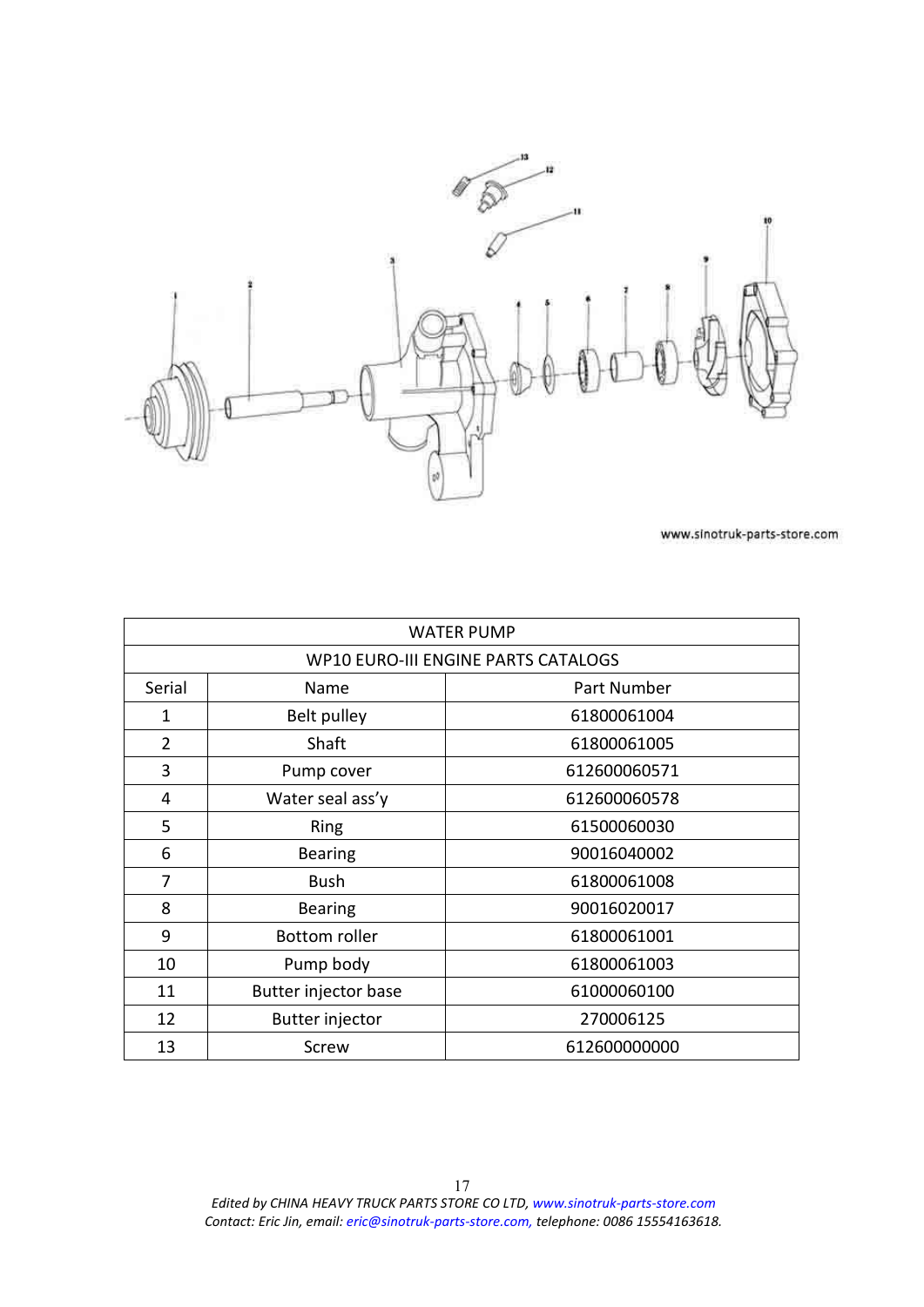<span id="page-16-0"></span>

|                |                        | <b>WATER PUMP</b>                          |
|----------------|------------------------|--------------------------------------------|
|                |                        | <b>WP10 EURO-III ENGINE PARTS CATALOGS</b> |
| Serial         | Name                   | Part Number                                |
| 1              | Belt pulley            | 61800061004                                |
| $\overline{2}$ | Shaft                  | 61800061005                                |
| 3              | Pump cover             | 612600060571                               |
| 4              | Water seal ass'y       | 612600060578                               |
| 5              | Ring                   | 61500060030                                |
| 6              | <b>Bearing</b>         | 90016040002                                |
| 7              | <b>Bush</b>            | 61800061008                                |
| 8              | <b>Bearing</b>         | 90016020017                                |
| 9              | <b>Bottom roller</b>   | 61800061001                                |
| 10             | Pump body              | 61800061003                                |
| 11             | Butter injector base   | 61000060100                                |
| 12             | <b>Butter injector</b> | 270006125                                  |
| 13             | Screw                  | 612600000000                               |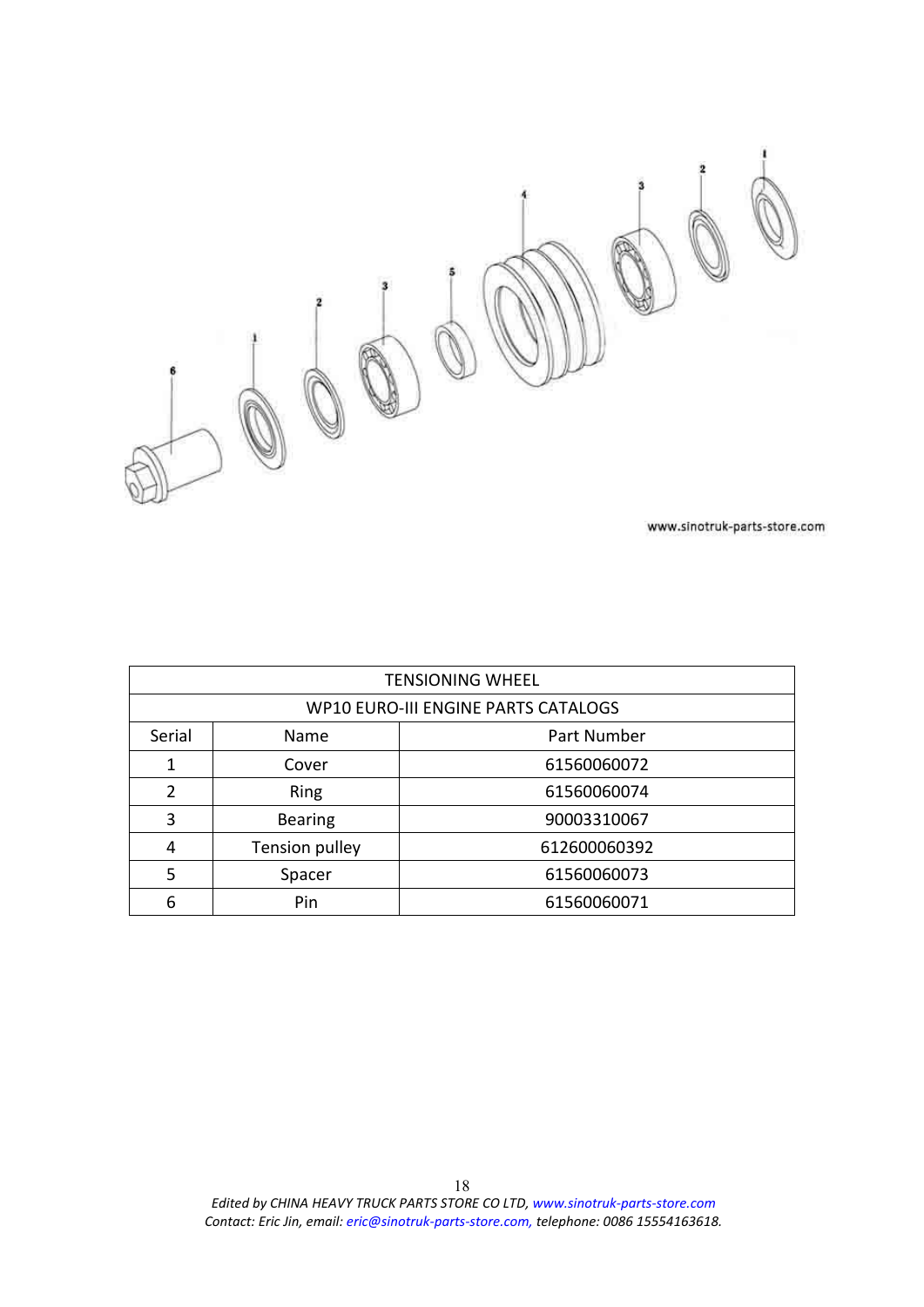<span id="page-17-0"></span>

|        |                            | <b>TENSIONING WHEEL</b>             |
|--------|----------------------------|-------------------------------------|
|        |                            | WP10 EURO-III ENGINE PARTS CATALOGS |
| Serial | Name                       | Part Number                         |
|        | Cover                      | 61560060072                         |
| 2      | <b>Ring</b><br>61560060074 |                                     |
| 3      | <b>Bearing</b>             | 90003310067                         |
| 4      | Tension pulley             | 612600060392                        |
| 5      | Spacer                     | 61560060073                         |
| 6      | Pin                        | 61560060071                         |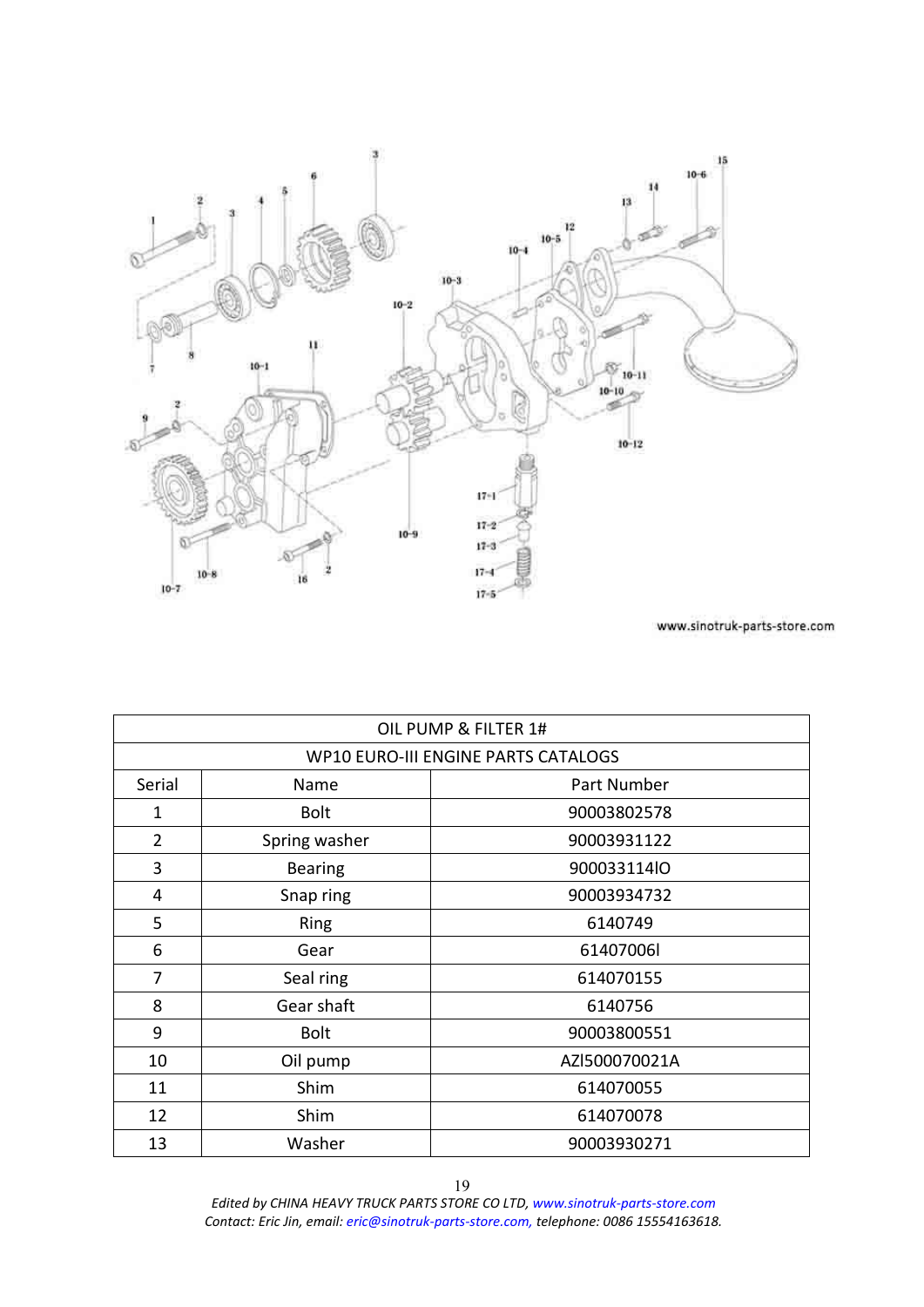<span id="page-18-0"></span>

|                |                | OIL PUMP & FILTER 1#                |
|----------------|----------------|-------------------------------------|
|                |                | WP10 EURO-III ENGINE PARTS CATALOGS |
| Serial         | Name           | Part Number                         |
| 1              | <b>Bolt</b>    | 90003802578                         |
| $\overline{2}$ | Spring washer  | 90003931122                         |
| 3              | <b>Bearing</b> | 900033114lO                         |
| 4              | Snap ring      | 90003934732                         |
| 5              | <b>Ring</b>    | 6140749                             |
| 6              | Gear           | 61407006l                           |
| 7              | Seal ring      | 614070155                           |
| 8              | Gear shaft     | 6140756                             |
| 9              | <b>Bolt</b>    | 90003800551                         |
| 10             | Oil pump       | AZI500070021A                       |
| 11             | Shim           | 614070055                           |
| 12             | Shim           | 614070078                           |
| 13             | Washer         | 90003930271                         |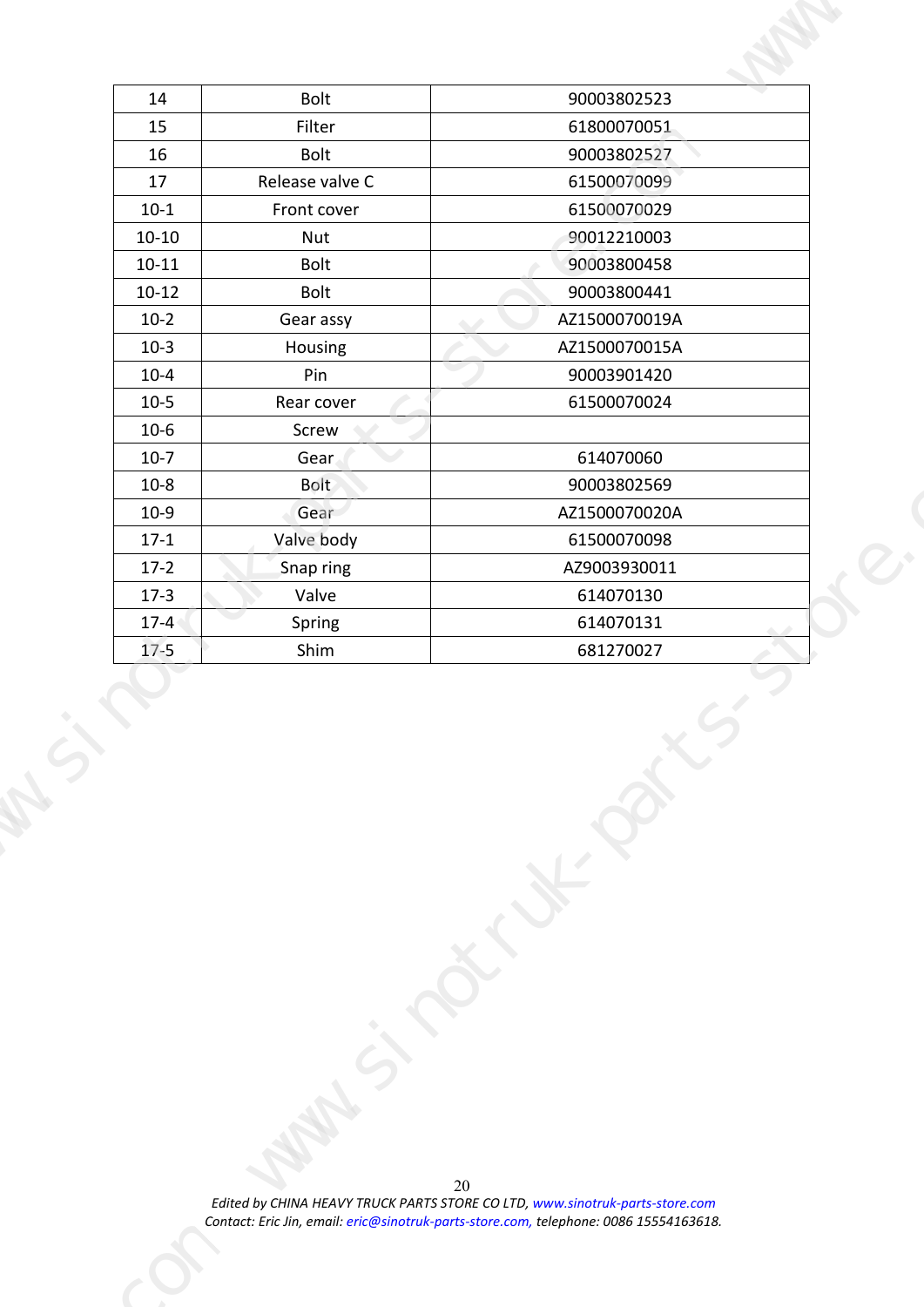| Bolt<br>90003802523<br>14<br>Filter<br>61800070051<br>15<br>Bolt<br>90003802527<br>16<br>Release valve C<br>61500070099<br>17<br>61500070029<br>$10-1$<br>Front cover<br>90012210003<br>$10 - 10$<br>Nut<br>Bolt<br>90003800458<br>$10 - 11$<br>Bolt<br>$10-12$<br>90003800441<br>$10-2$<br>Gear assy<br>AZ1500070019A<br>$10-3$<br>AZ1500070015A<br>Housing<br>$10 - 4$<br>Pin<br>90003901420<br>$10-5$<br>Rear cover<br>61500070024<br>$10-6$<br>Screw<br>614070060<br>Gear<br>$10-7$<br>$\sim$<br>Bolt<br>90003802569<br>$10 - 8$<br>Gear<br>AZ1500070020A<br>$10-9$<br>Valve body<br>61500070098<br>$17-1$<br>AZ9003930011<br>$17-2$<br>Snap ring<br>Valve<br>614070130<br>$17-3$<br>Spring<br>614070131<br>$17-4$<br>. .<br>$17-5$<br>Shim<br>681270027<br>20<br>Edited by CHINA HEAVY TRUCK PARTS STORE CO LTD, www.sinotruk-parts-store.com<br>Contact: Eric Jin, email: eric@sinotruk-parts-store.com, telephone: 0086 15554163618. |  |  |  |  |
|---------------------------------------------------------------------------------------------------------------------------------------------------------------------------------------------------------------------------------------------------------------------------------------------------------------------------------------------------------------------------------------------------------------------------------------------------------------------------------------------------------------------------------------------------------------------------------------------------------------------------------------------------------------------------------------------------------------------------------------------------------------------------------------------------------------------------------------------------------------------------------------------------------------------------------------------|--|--|--|--|
|                                                                                                                                                                                                                                                                                                                                                                                                                                                                                                                                                                                                                                                                                                                                                                                                                                                                                                                                             |  |  |  |  |
|                                                                                                                                                                                                                                                                                                                                                                                                                                                                                                                                                                                                                                                                                                                                                                                                                                                                                                                                             |  |  |  |  |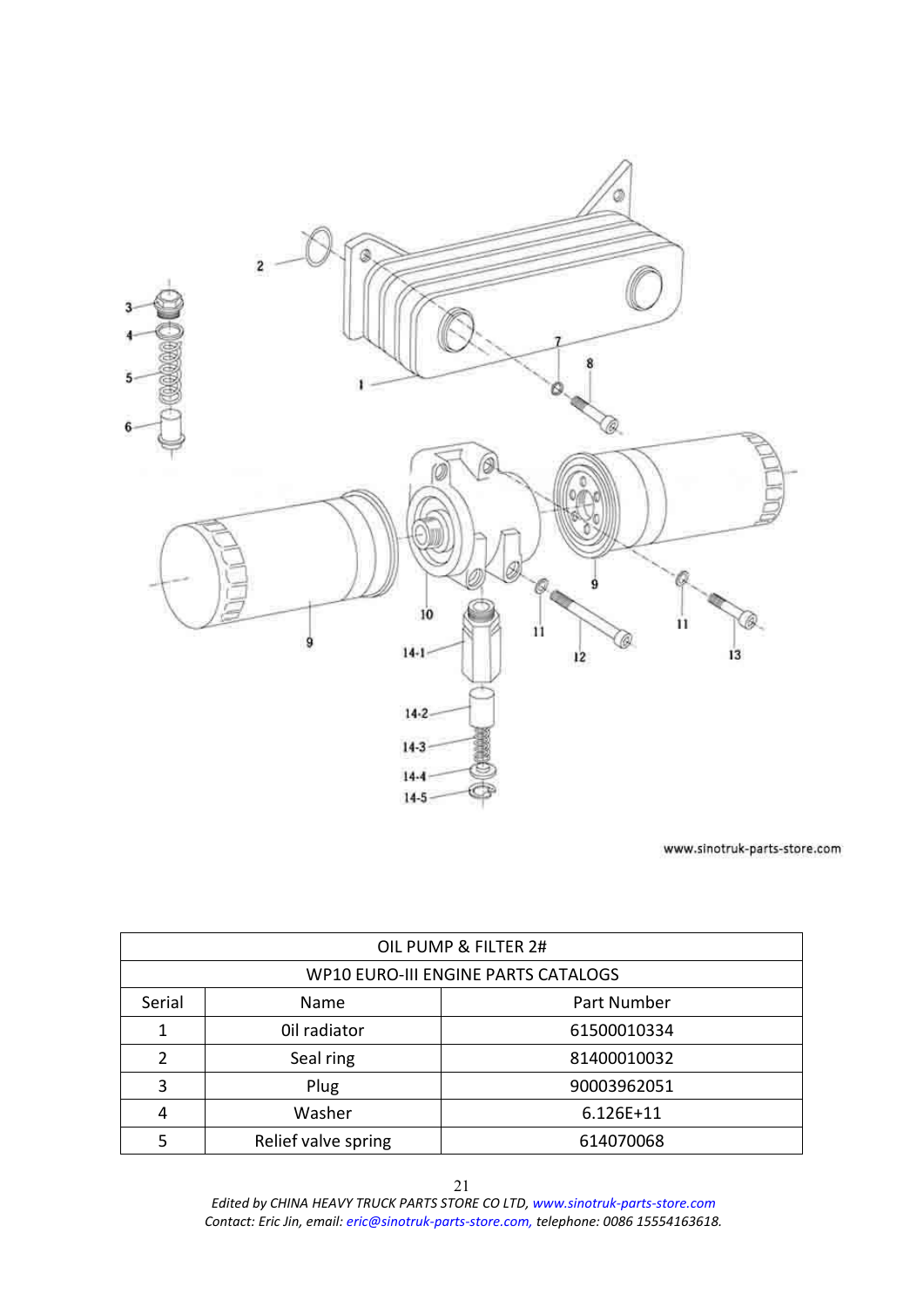<span id="page-20-0"></span>

|        |                     | OIL PUMP & FILTER 2#                |
|--------|---------------------|-------------------------------------|
|        |                     | WP10 EURO-III ENGINE PARTS CATALOGS |
| Serial | <b>Name</b>         | Part Number                         |
| 1      | Oil radiator        | 61500010334                         |
| 2      | Seal ring           | 81400010032                         |
| 3      | Plug                | 90003962051                         |
| 4      | Washer              | $6.126E+11$                         |
|        | Relief valve spring | 614070068                           |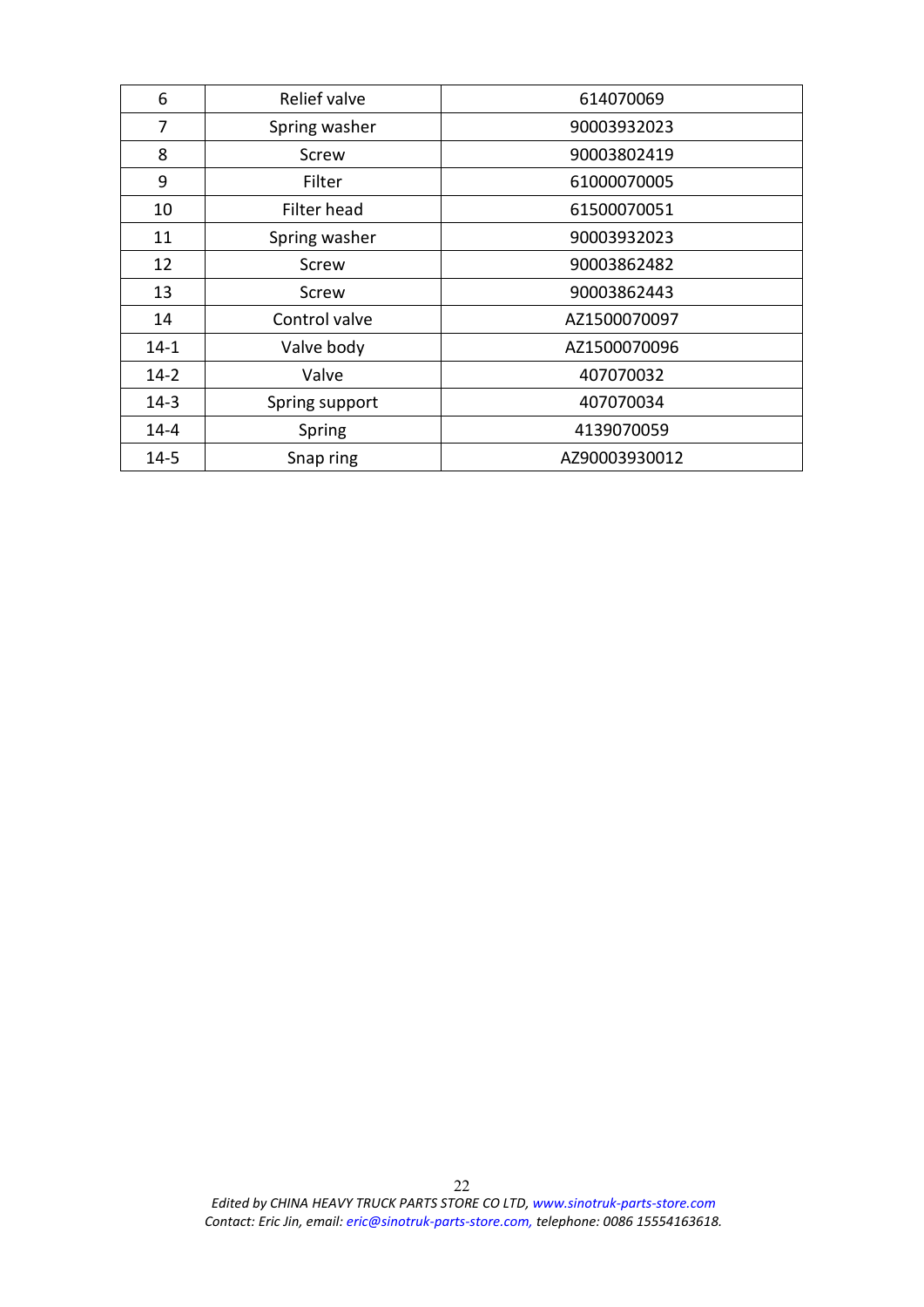| 6        | Relief valve   | 614070069     |  |
|----------|----------------|---------------|--|
| 7        | Spring washer  | 90003932023   |  |
| 8        | Screw          | 90003802419   |  |
| 9        | Filter         | 61000070005   |  |
| 10       | Filter head    | 61500070051   |  |
| 11       | Spring washer  | 90003932023   |  |
| 12       | Screw          | 90003862482   |  |
| 13       | Screw          | 90003862443   |  |
| 14       | Control valve  | AZ1500070097  |  |
| $14 - 1$ | Valve body     | AZ1500070096  |  |
| $14 - 2$ | Valve          | 407070032     |  |
| $14 - 3$ | Spring support | 407070034     |  |
| $14 - 4$ | Spring         | 4139070059    |  |
| $14 - 5$ | Snap ring      | AZ90003930012 |  |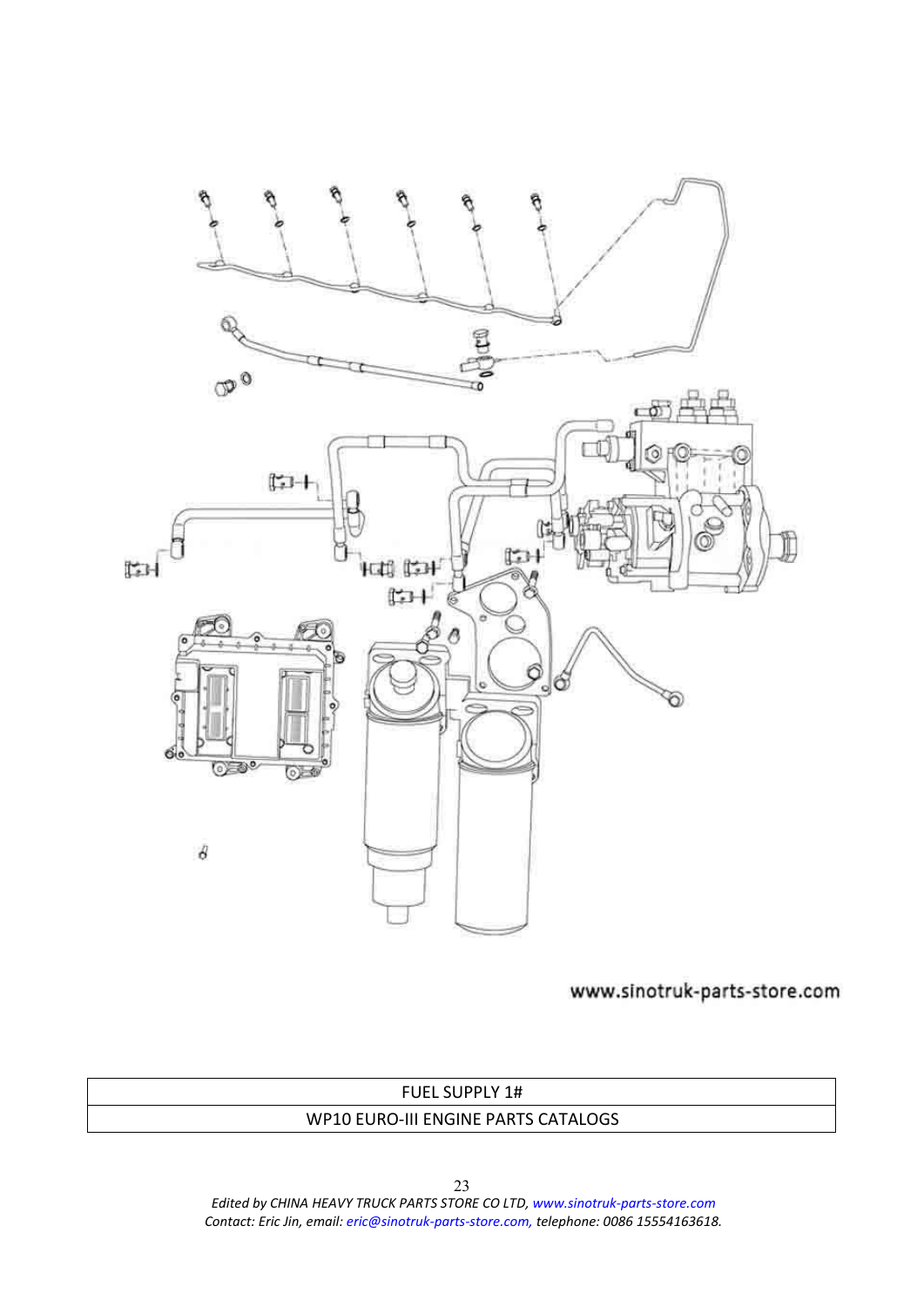<span id="page-22-0"></span>

## FUEL SUPPLY 1# WP10 EURO-III ENGINE PARTS CATALOGS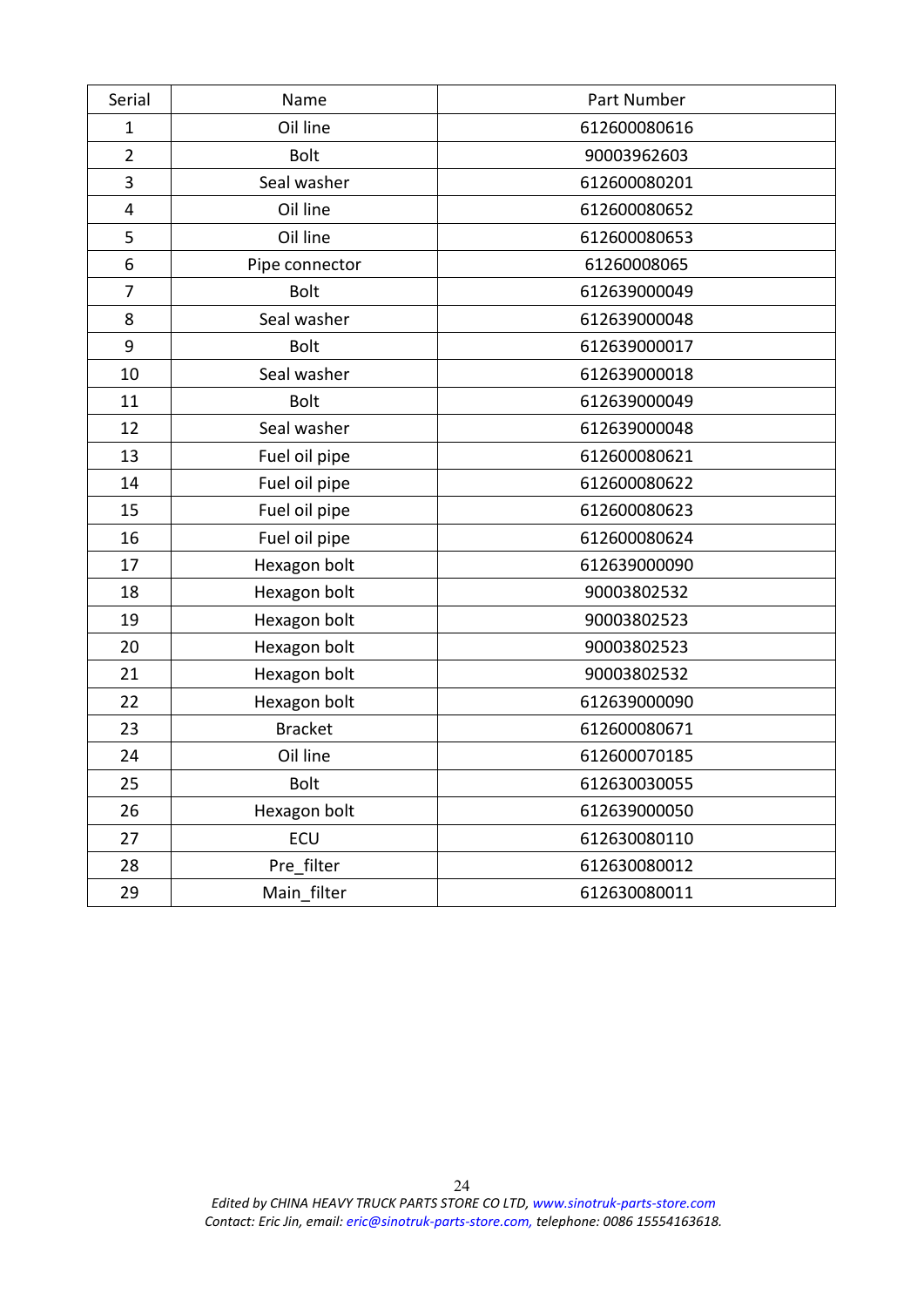| Serial         | Name           | Part Number  |
|----------------|----------------|--------------|
| $\mathbf{1}$   | Oil line       | 612600080616 |
| $\overline{2}$ | <b>Bolt</b>    | 90003962603  |
| 3              | Seal washer    | 612600080201 |
| 4              | Oil line       | 612600080652 |
| 5              | Oil line       | 612600080653 |
| 6              | Pipe connector | 61260008065  |
| 7              | <b>Bolt</b>    | 612639000049 |
| 8              | Seal washer    | 612639000048 |
| 9              | <b>Bolt</b>    | 612639000017 |
| 10             | Seal washer    | 612639000018 |
| 11             | <b>Bolt</b>    | 612639000049 |
| 12             | Seal washer    | 612639000048 |
| 13             | Fuel oil pipe  | 612600080621 |
| 14             | Fuel oil pipe  | 612600080622 |
| 15             | Fuel oil pipe  | 612600080623 |
| 16             | Fuel oil pipe  | 612600080624 |
| 17             | Hexagon bolt   | 612639000090 |
| 18             | Hexagon bolt   | 90003802532  |
| 19             | Hexagon bolt   | 90003802523  |
| 20             | Hexagon bolt   | 90003802523  |
| 21             | Hexagon bolt   | 90003802532  |
| 22             | Hexagon bolt   | 612639000090 |
| 23             | <b>Bracket</b> | 612600080671 |
| 24             | Oil line       | 612600070185 |
| 25             | <b>Bolt</b>    | 612630030055 |
| 26             | Hexagon bolt   | 612639000050 |
| 27             | ECU            | 612630080110 |
| 28             | Pre filter     | 612630080012 |
| 29             | Main filter    | 612630080011 |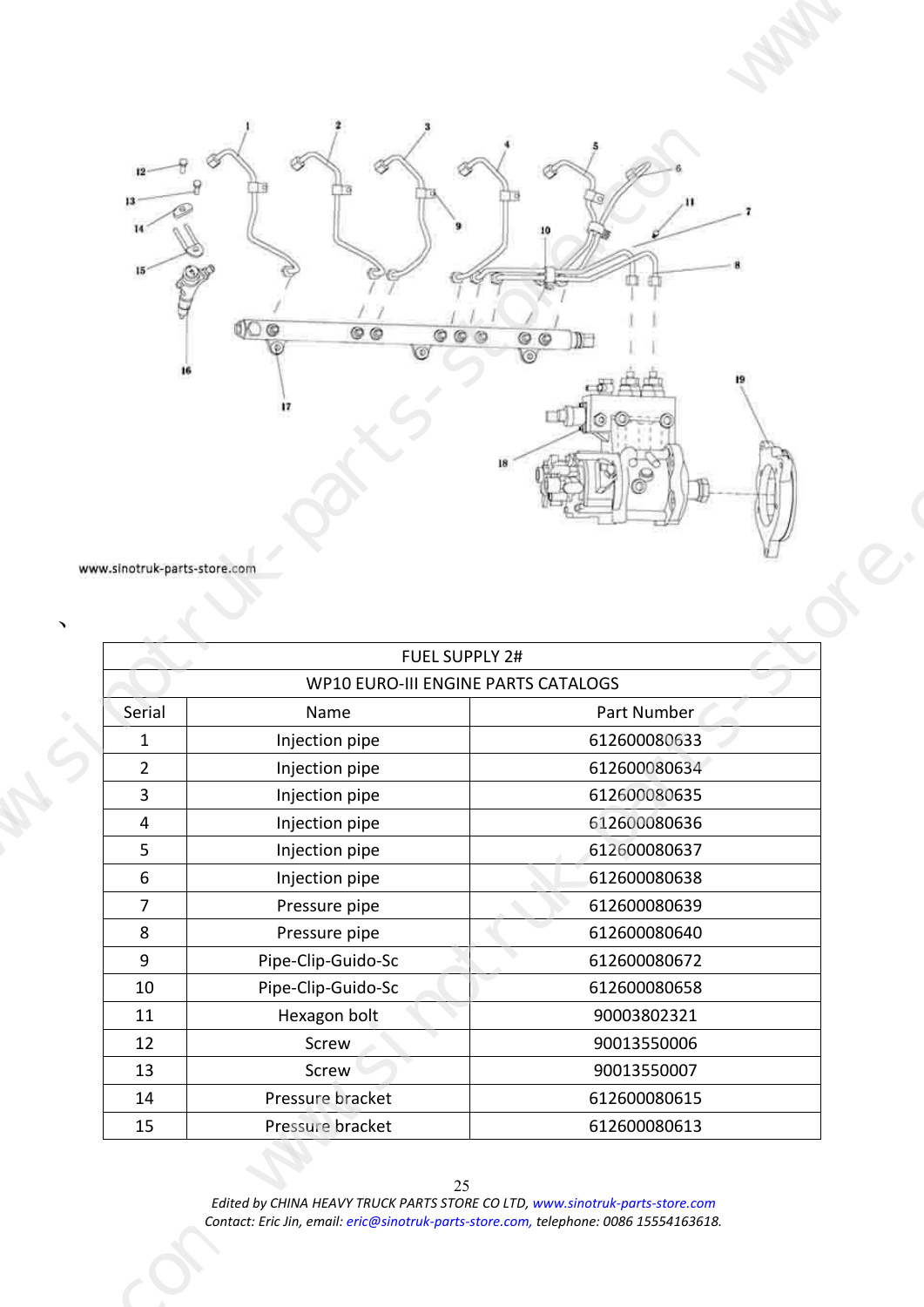<span id="page-24-0"></span>

| 12<br>$-1.05$<br>$0$ $0$<br>O<br>00<br>www.sinotruk-parts-store.com<br>$\overline{\phantom{a}}$<br><b>FUEL SUPPLY 2#</b><br><b>Contract Contract</b><br>WP10 EURO-III ENGINE PARTS CATALOGS<br>Serial<br>Part Number<br>Name<br>Injection pipe<br>612600080633<br>1<br>612600080634<br>Injection pipe<br>$\overline{2}$<br>Injection pipe<br>612600080635<br>$\overline{\mathbf{3}}$<br>Injection pipe<br>612600080636<br>4<br>Injection pipe<br>612600080637<br>$5\overline{)}$<br>Injection pipe<br>612600080638<br>6<br>$\overline{7}$<br>Pressure pipe<br>612600080639<br>612600080640<br>Pressure pipe<br>8<br>Pipe-Clip-Guido-Sc<br>612600080672<br>9<br>612600080658<br>10<br>Pipe-Clip-Guido-Sc<br>90003802321<br>11<br>Hexagon bolt<br>90013550006<br>12<br>Screw<br>90013550007<br>13<br>Screw |  |  |  |
|----------------------------------------------------------------------------------------------------------------------------------------------------------------------------------------------------------------------------------------------------------------------------------------------------------------------------------------------------------------------------------------------------------------------------------------------------------------------------------------------------------------------------------------------------------------------------------------------------------------------------------------------------------------------------------------------------------------------------------------------------------------------------------------------------------|--|--|--|
|                                                                                                                                                                                                                                                                                                                                                                                                                                                                                                                                                                                                                                                                                                                                                                                                          |  |  |  |
|                                                                                                                                                                                                                                                                                                                                                                                                                                                                                                                                                                                                                                                                                                                                                                                                          |  |  |  |
|                                                                                                                                                                                                                                                                                                                                                                                                                                                                                                                                                                                                                                                                                                                                                                                                          |  |  |  |
|                                                                                                                                                                                                                                                                                                                                                                                                                                                                                                                                                                                                                                                                                                                                                                                                          |  |  |  |
|                                                                                                                                                                                                                                                                                                                                                                                                                                                                                                                                                                                                                                                                                                                                                                                                          |  |  |  |
|                                                                                                                                                                                                                                                                                                                                                                                                                                                                                                                                                                                                                                                                                                                                                                                                          |  |  |  |
|                                                                                                                                                                                                                                                                                                                                                                                                                                                                                                                                                                                                                                                                                                                                                                                                          |  |  |  |
|                                                                                                                                                                                                                                                                                                                                                                                                                                                                                                                                                                                                                                                                                                                                                                                                          |  |  |  |
|                                                                                                                                                                                                                                                                                                                                                                                                                                                                                                                                                                                                                                                                                                                                                                                                          |  |  |  |
|                                                                                                                                                                                                                                                                                                                                                                                                                                                                                                                                                                                                                                                                                                                                                                                                          |  |  |  |
|                                                                                                                                                                                                                                                                                                                                                                                                                                                                                                                                                                                                                                                                                                                                                                                                          |  |  |  |
|                                                                                                                                                                                                                                                                                                                                                                                                                                                                                                                                                                                                                                                                                                                                                                                                          |  |  |  |
| Pressure bracket<br>612600080615<br>14<br>Pressure bracket<br>15<br>612600080613                                                                                                                                                                                                                                                                                                                                                                                                                                                                                                                                                                                                                                                                                                                         |  |  |  |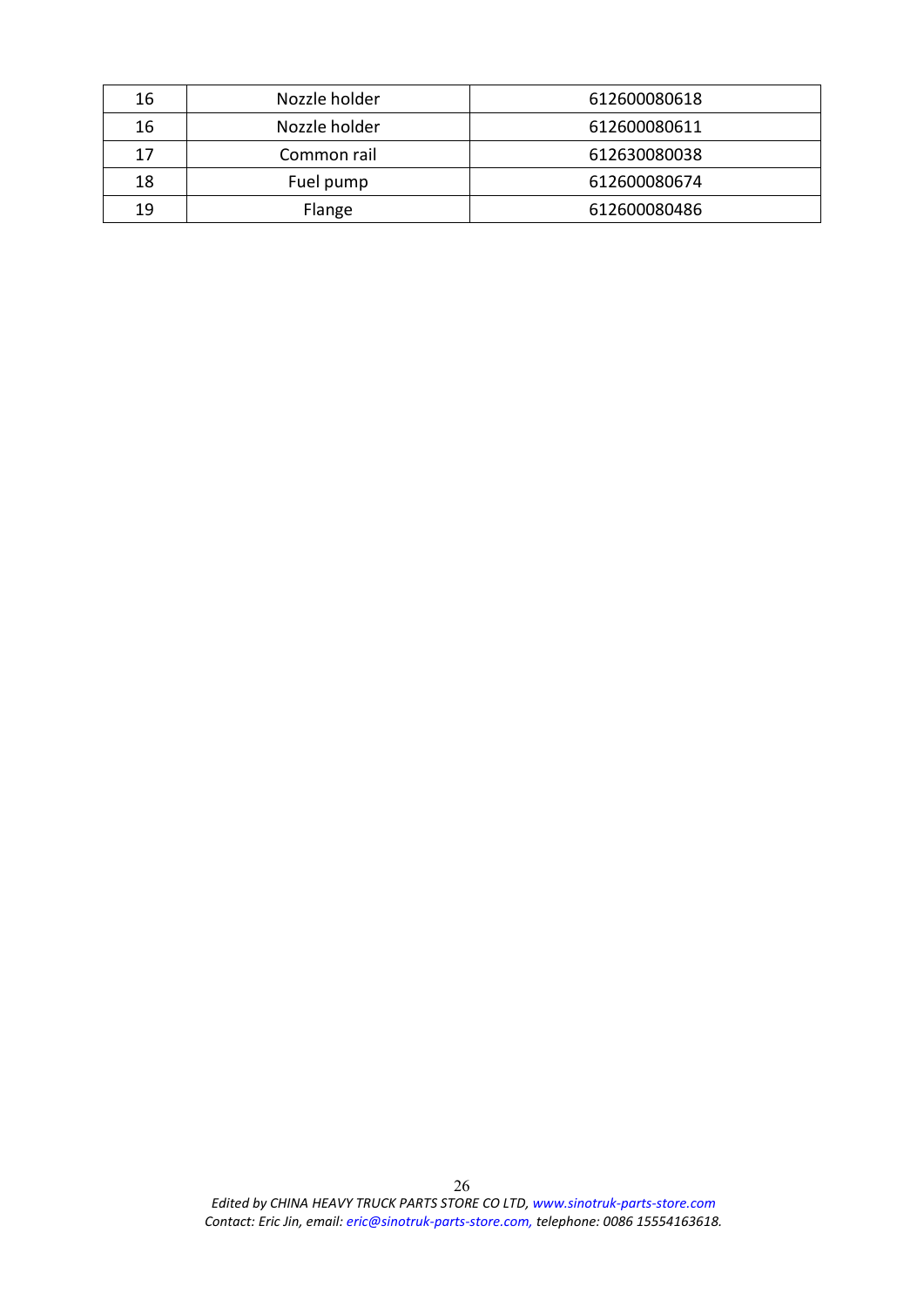| 16 | Nozzle holder | 612600080618 |
|----|---------------|--------------|
| 16 | Nozzle holder | 612600080611 |
| 17 | Common rail   | 612630080038 |
| 18 | Fuel pump     | 612600080674 |
| 19 | Flange        | 612600080486 |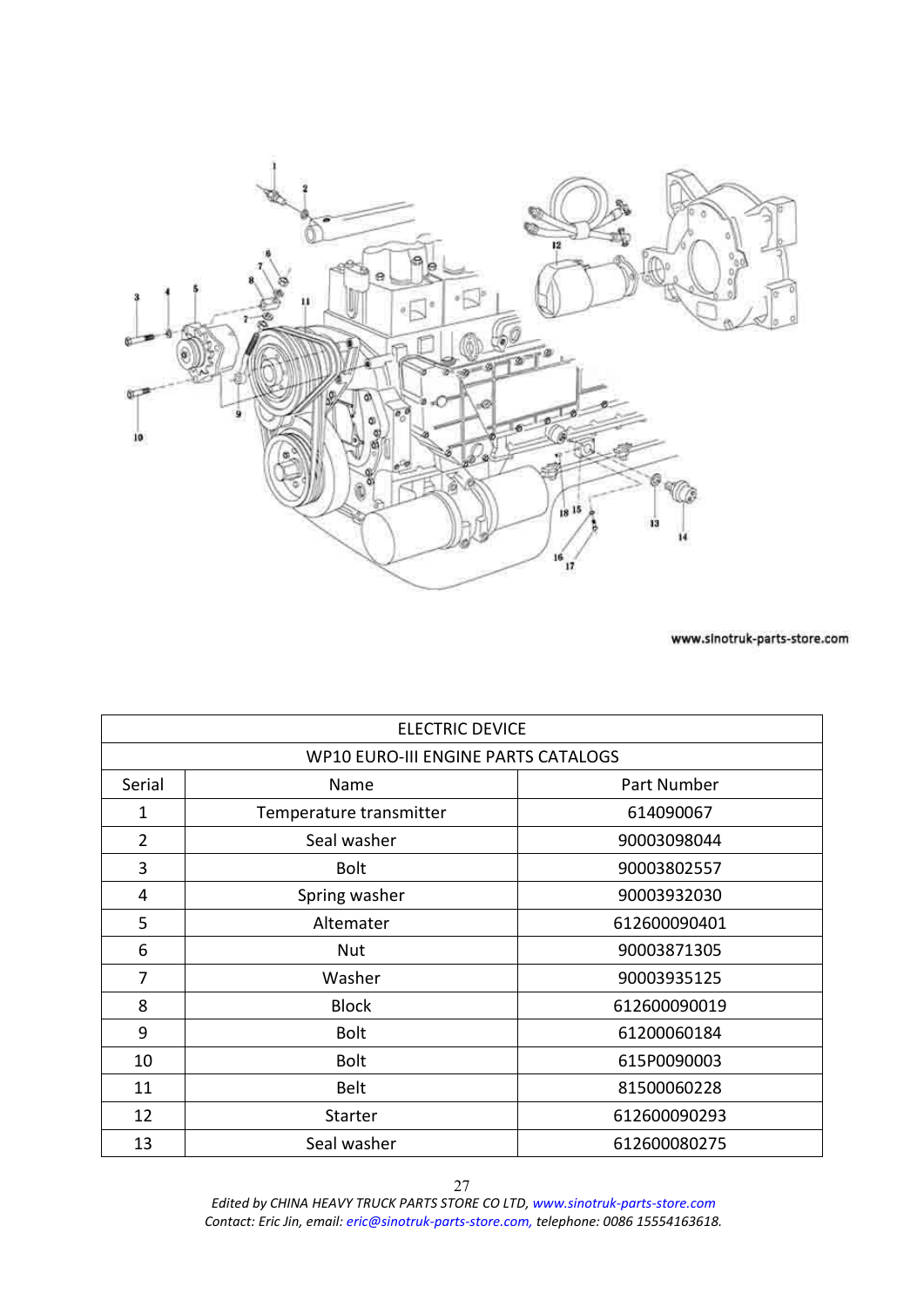<span id="page-26-0"></span>

| <b>ELECTRIC DEVICE</b> |                                     |              |
|------------------------|-------------------------------------|--------------|
|                        | WP10 EURO-III ENGINE PARTS CATALOGS |              |
| Serial                 | Name                                | Part Number  |
| 1                      | Temperature transmitter             | 614090067    |
| $\overline{2}$         | Seal washer                         | 90003098044  |
| 3                      | <b>Bolt</b>                         | 90003802557  |
| 4                      | Spring washer                       | 90003932030  |
| 5                      | Altemater                           | 612600090401 |
| 6                      | Nut                                 | 90003871305  |
| 7                      | Washer                              | 90003935125  |
| 8                      | <b>Block</b>                        | 612600090019 |
| 9                      | <b>Bolt</b>                         | 61200060184  |
| 10                     | <b>Bolt</b>                         | 615P0090003  |
| 11                     | Belt                                | 81500060228  |
| 12                     | <b>Starter</b>                      | 612600090293 |
| 13                     | Seal washer                         | 612600080275 |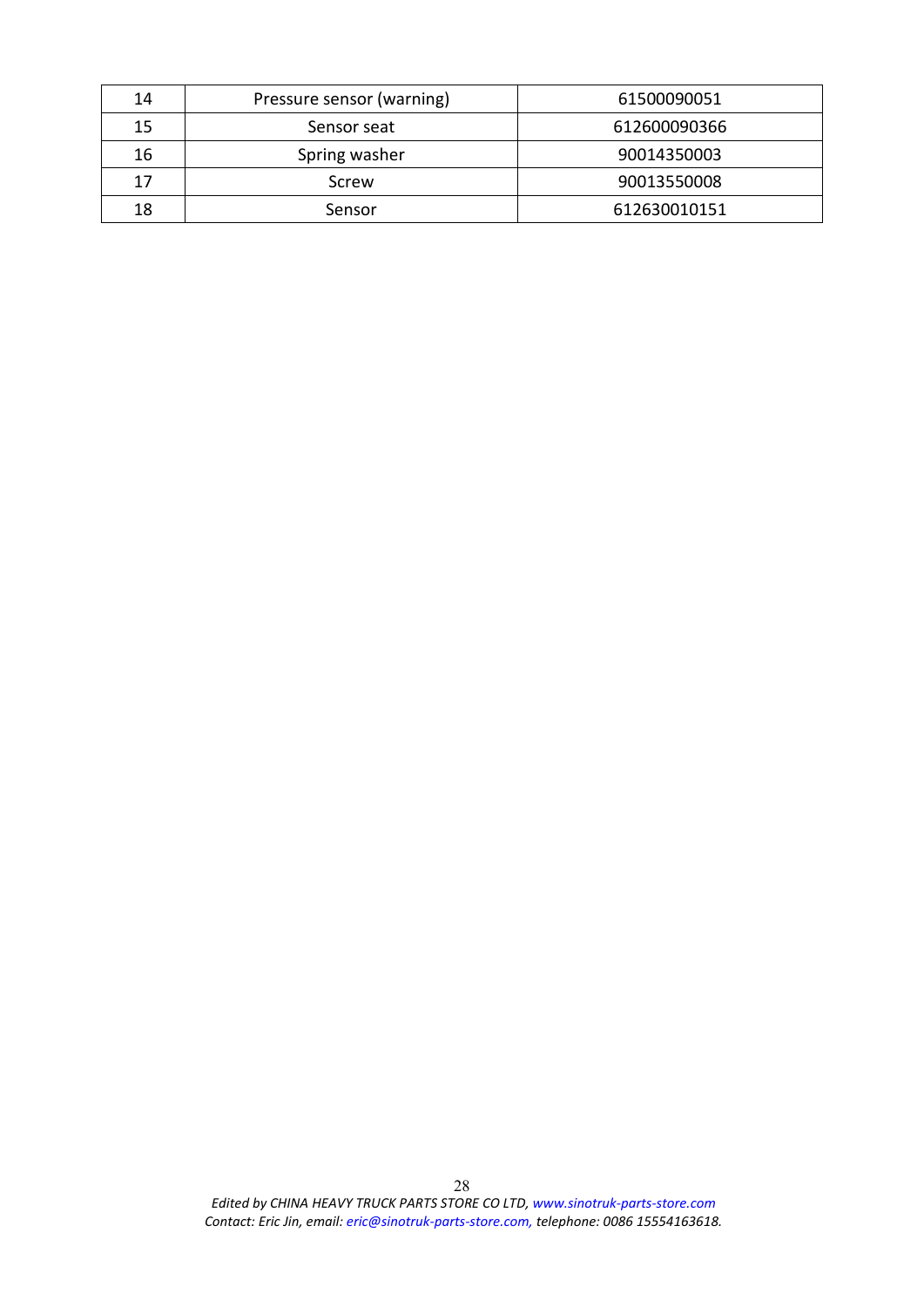| 14 | Pressure sensor (warning) | 61500090051  |
|----|---------------------------|--------------|
| 15 | Sensor seat               | 612600090366 |
| 16 | Spring washer             | 90014350003  |
| 17 | Screw                     | 90013550008  |
| 18 | Sensor                    | 612630010151 |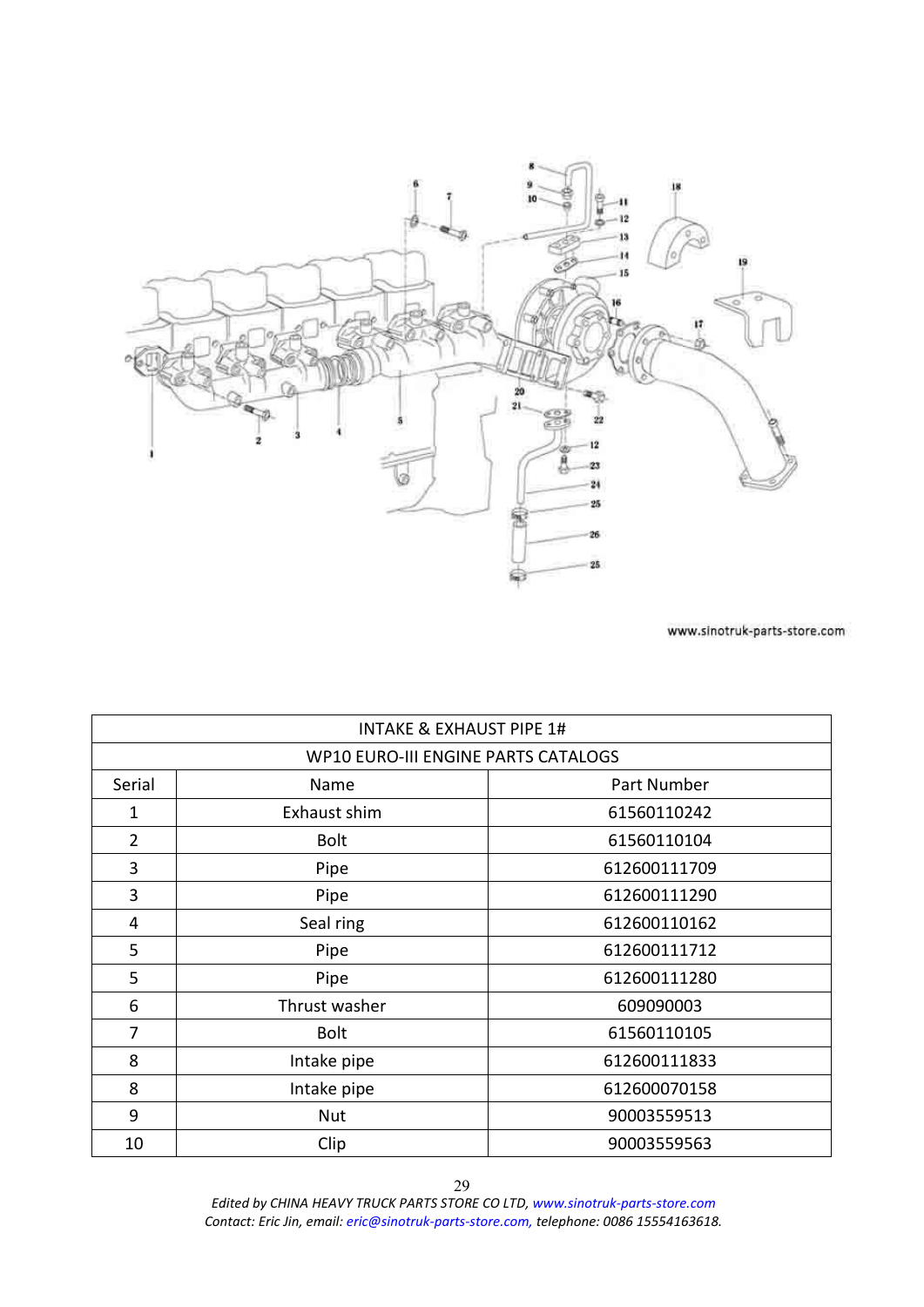<span id="page-28-0"></span>

| INTAKE & EXHAUST PIPE 1#            |               |              |
|-------------------------------------|---------------|--------------|
| WP10 EURO-III ENGINE PARTS CATALOGS |               |              |
| Serial                              | Name          | Part Number  |
| 1                                   | Exhaust shim  | 61560110242  |
| $\overline{2}$                      | <b>Bolt</b>   | 61560110104  |
| 3                                   | Pipe          | 612600111709 |
| 3                                   | Pipe          | 612600111290 |
| 4                                   | Seal ring     | 612600110162 |
| 5                                   | Pipe          | 612600111712 |
| 5                                   | Pipe          | 612600111280 |
| 6                                   | Thrust washer | 609090003    |
| 7                                   | <b>Bolt</b>   | 61560110105  |
| 8                                   | Intake pipe   | 612600111833 |
| 8                                   | Intake pipe   | 612600070158 |
| 9                                   | <b>Nut</b>    | 90003559513  |
| 10                                  | Clip          | 90003559563  |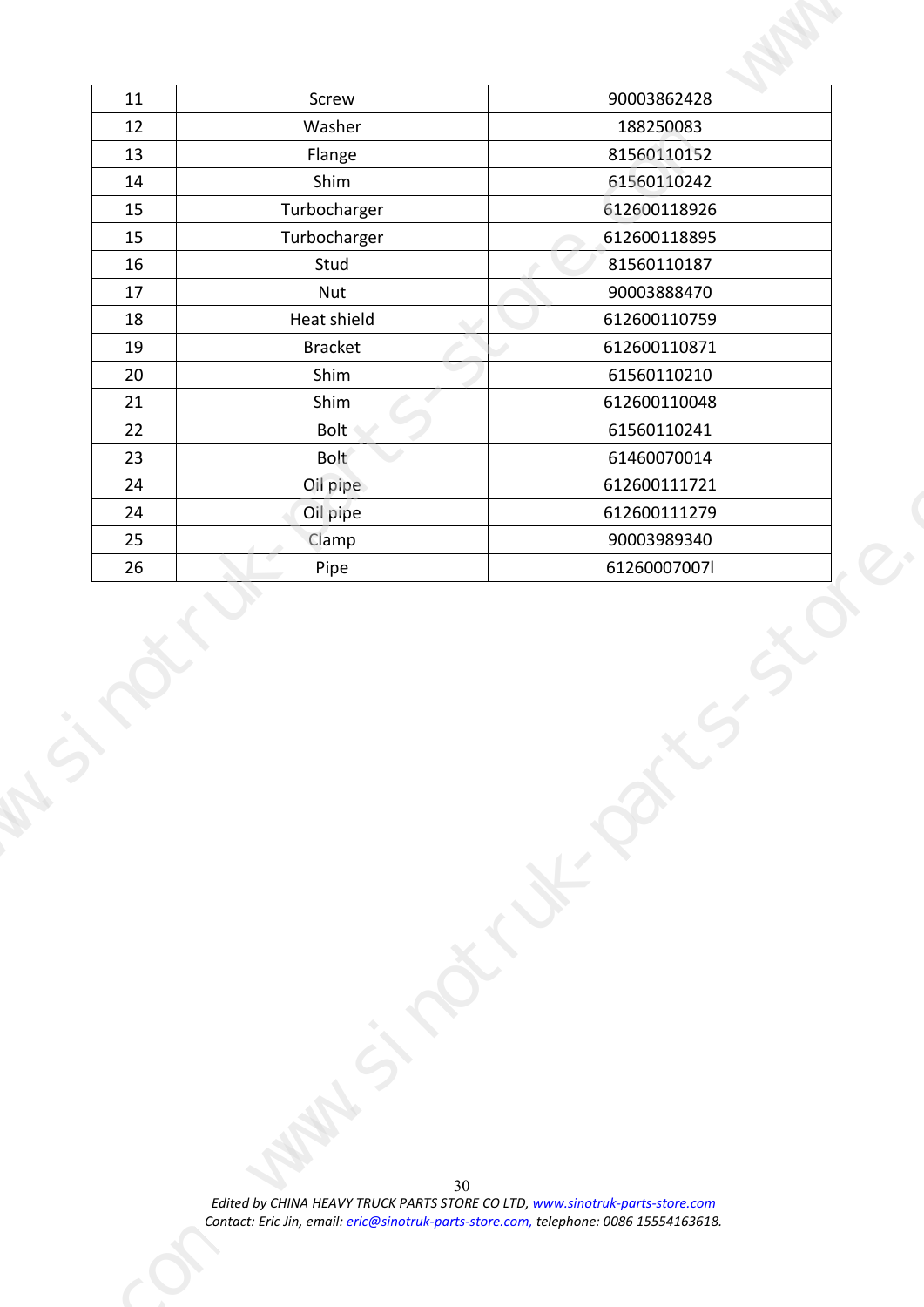| 90003862428<br>Screw<br>11<br>12<br>Washer<br>188250083<br>81560110152<br>13<br>Flange<br>Shim<br>61560110242<br>14<br>612600118926<br>Turbocharger<br>15<br>Turbocharger<br>612600118895<br>15<br>81560110187<br>Stud<br>16<br>17<br>90003888470<br>Nut<br>Heat shield<br>612600110759<br>18<br>19<br>612600110871<br>Bracket<br>$\rightarrow$<br>20<br>Shim<br>61560110210<br>21<br>Shim<br>612600110048<br>22<br>Bolt<br>61560110241<br>Bolt<br>23<br>61460070014<br>Oil pipe<br>24<br>612600111721<br>612600111279<br>24<br>Oil pipe<br>Clamp<br>25<br>90003989340<br>61260007007l<br>Pipe<br>26 |
|------------------------------------------------------------------------------------------------------------------------------------------------------------------------------------------------------------------------------------------------------------------------------------------------------------------------------------------------------------------------------------------------------------------------------------------------------------------------------------------------------------------------------------------------------------------------------------------------------|
|                                                                                                                                                                                                                                                                                                                                                                                                                                                                                                                                                                                                      |
|                                                                                                                                                                                                                                                                                                                                                                                                                                                                                                                                                                                                      |
|                                                                                                                                                                                                                                                                                                                                                                                                                                                                                                                                                                                                      |
|                                                                                                                                                                                                                                                                                                                                                                                                                                                                                                                                                                                                      |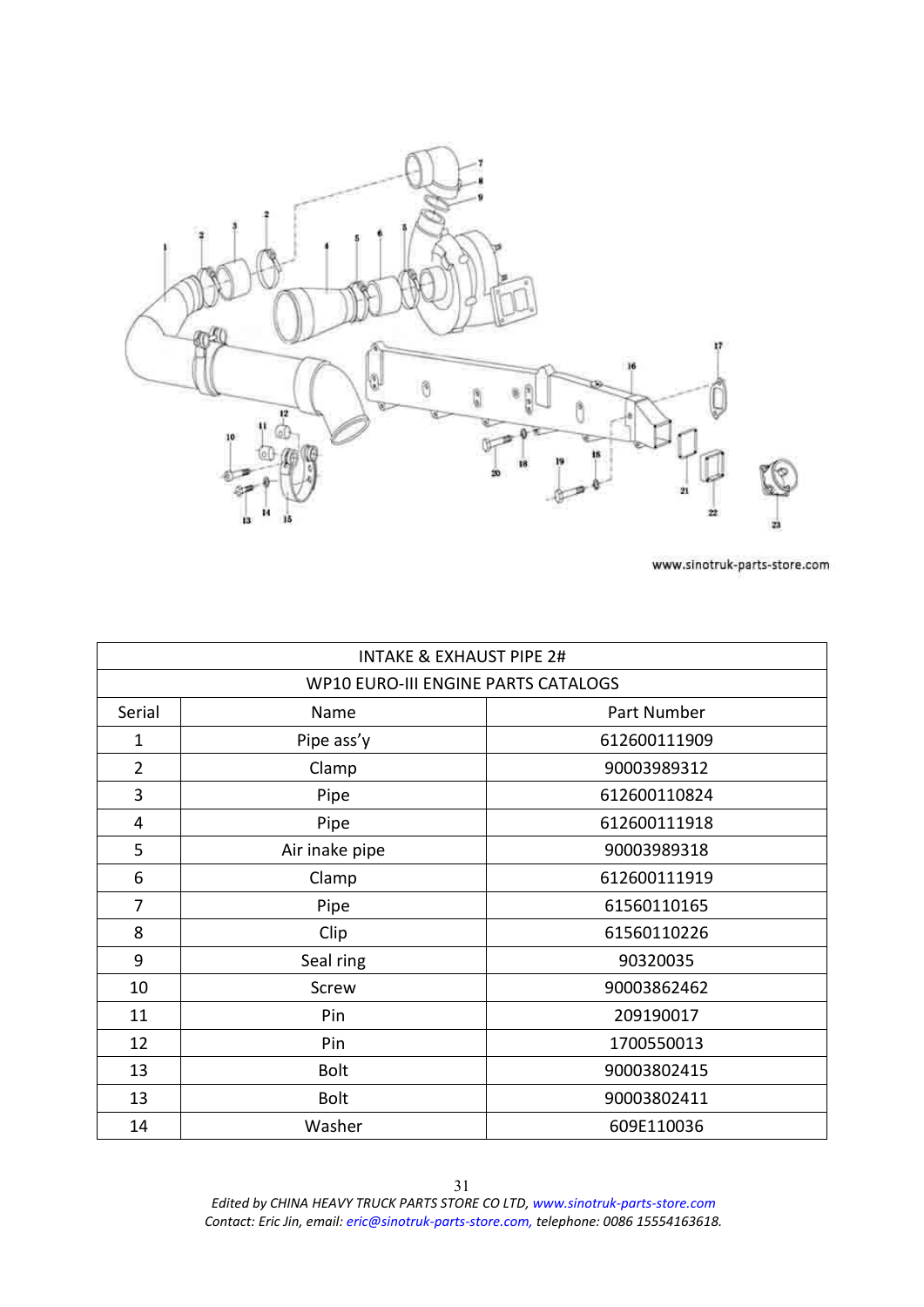<span id="page-30-0"></span>

| <b>INTAKE &amp; EXHAUST PIPE 2#</b>        |                |              |
|--------------------------------------------|----------------|--------------|
| <b>WP10 EURO-III ENGINE PARTS CATALOGS</b> |                |              |
| Serial                                     | Name           | Part Number  |
| $\mathbf{1}$                               | Pipe ass'y     | 612600111909 |
| $\overline{2}$                             | Clamp          | 90003989312  |
| 3                                          | Pipe           | 612600110824 |
| 4                                          | Pipe           | 612600111918 |
| 5                                          | Air inake pipe | 90003989318  |
| 6                                          | Clamp          | 612600111919 |
| 7                                          | Pipe           | 61560110165  |
| 8                                          | Clip           | 61560110226  |
| 9                                          | Seal ring      | 90320035     |
| 10                                         | Screw          | 90003862462  |
| 11                                         | Pin            | 209190017    |
| 12                                         | Pin            | 1700550013   |
| 13                                         | <b>Bolt</b>    | 90003802415  |
| 13                                         | <b>Bolt</b>    | 90003802411  |
| 14                                         | Washer         | 609E110036   |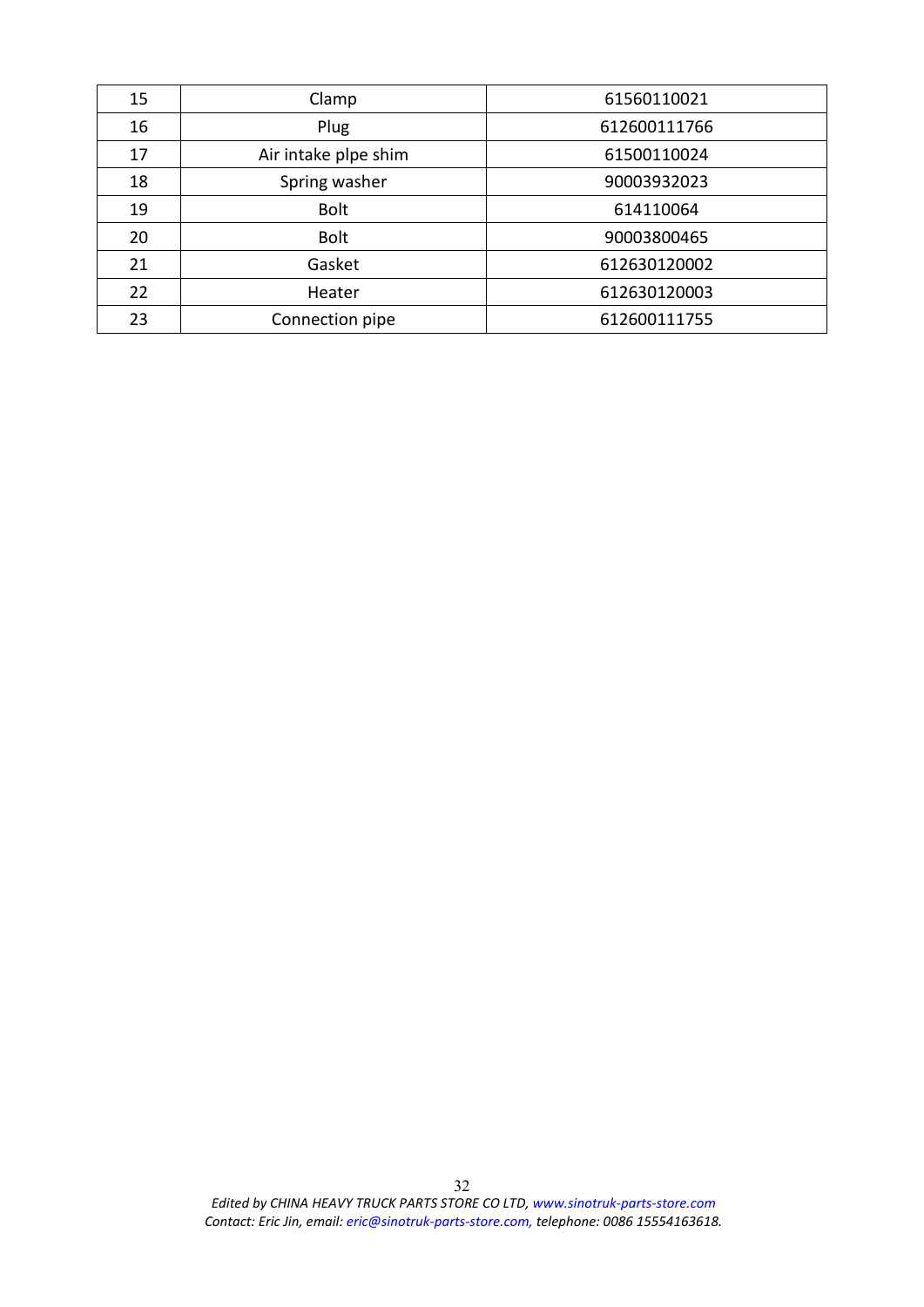| 15 | Clamp                | 61560110021  |
|----|----------------------|--------------|
| 16 | Plug                 | 612600111766 |
| 17 | Air intake plpe shim | 61500110024  |
| 18 | Spring washer        | 90003932023  |
| 19 | <b>Bolt</b>          | 614110064    |
| 20 | <b>Bolt</b>          | 90003800465  |
| 21 | Gasket               | 612630120002 |
| 22 | Heater               | 612630120003 |
| 23 | Connection pipe      | 612600111755 |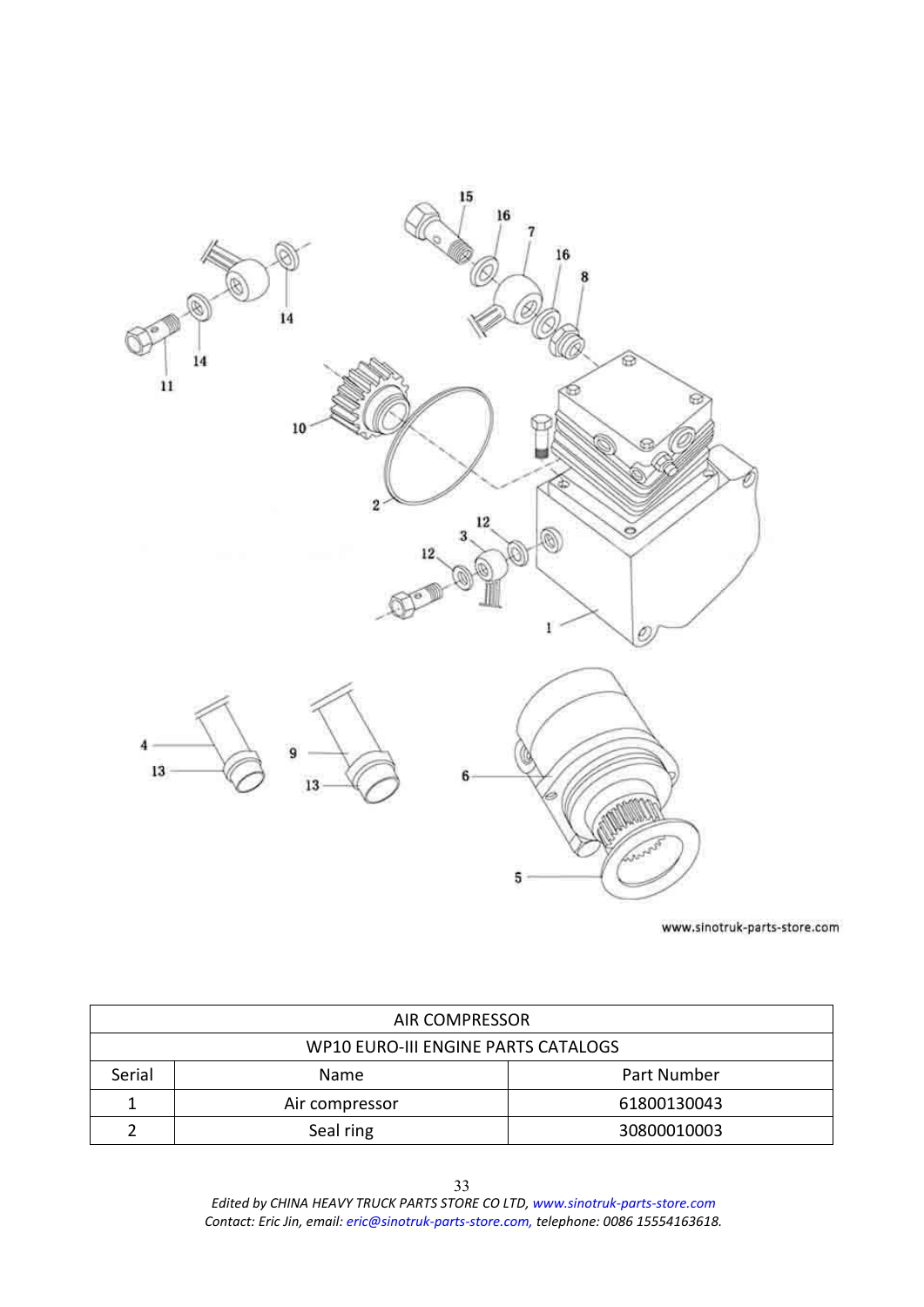<span id="page-32-0"></span>

| <b>AIR COMPRESSOR</b>               |                |             |
|-------------------------------------|----------------|-------------|
| WP10 EURO-III ENGINE PARTS CATALOGS |                |             |
| Serial                              | Name           | Part Number |
|                                     | Air compressor | 61800130043 |
|                                     | Seal ring      | 30800010003 |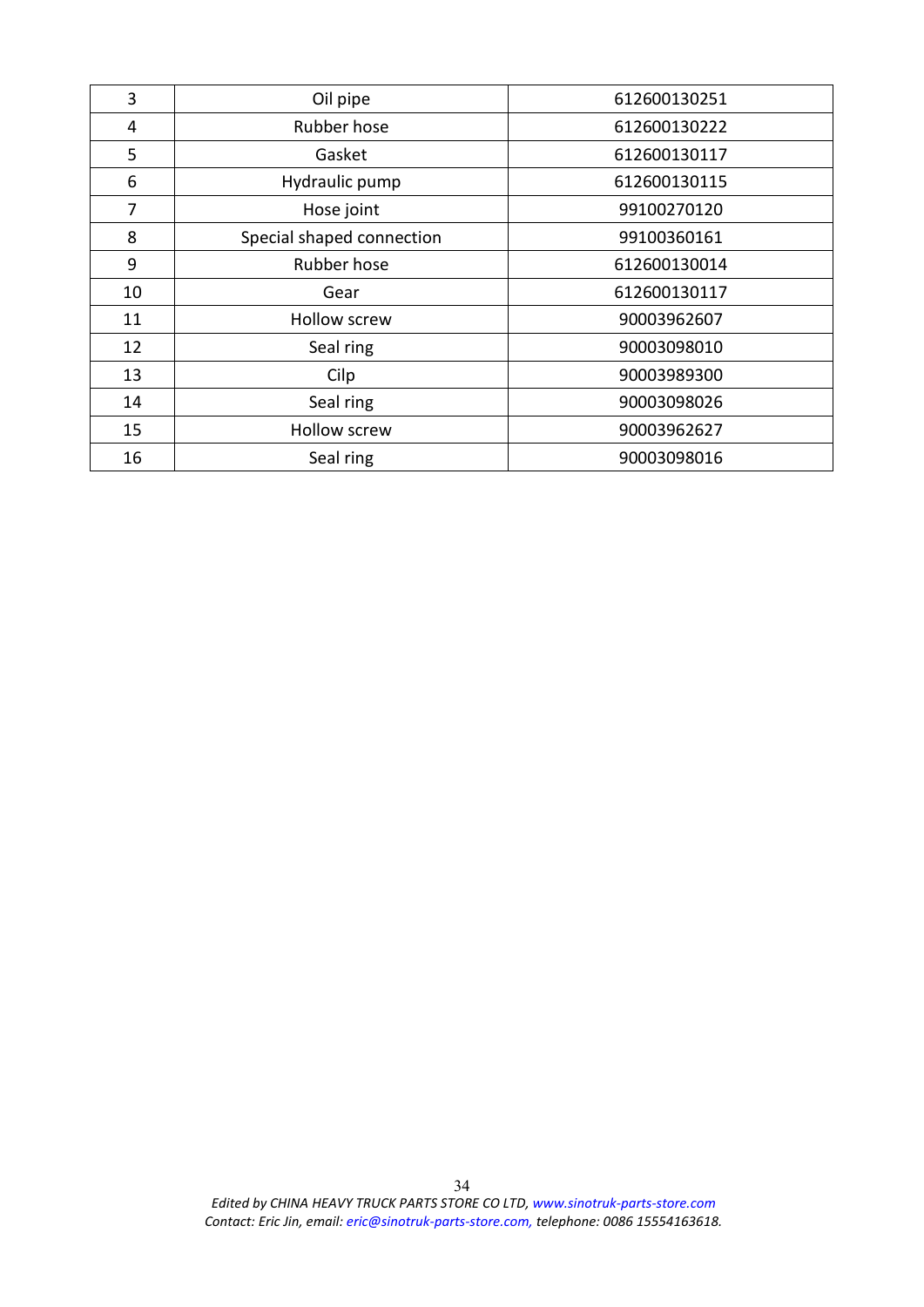| 3  | Oil pipe                  | 612600130251 |
|----|---------------------------|--------------|
| 4  | Rubber hose               | 612600130222 |
| 5  | Gasket                    | 612600130117 |
| 6  | Hydraulic pump            | 612600130115 |
| 7  | Hose joint                | 99100270120  |
| 8  | Special shaped connection | 99100360161  |
| 9  | Rubber hose               | 612600130014 |
| 10 | Gear                      | 612600130117 |
| 11 | <b>Hollow screw</b>       | 90003962607  |
| 12 | Seal ring                 | 90003098010  |
| 13 | Cilp                      | 90003989300  |
| 14 | Seal ring                 | 90003098026  |
| 15 | <b>Hollow screw</b>       | 90003962627  |
| 16 | Seal ring                 | 90003098016  |